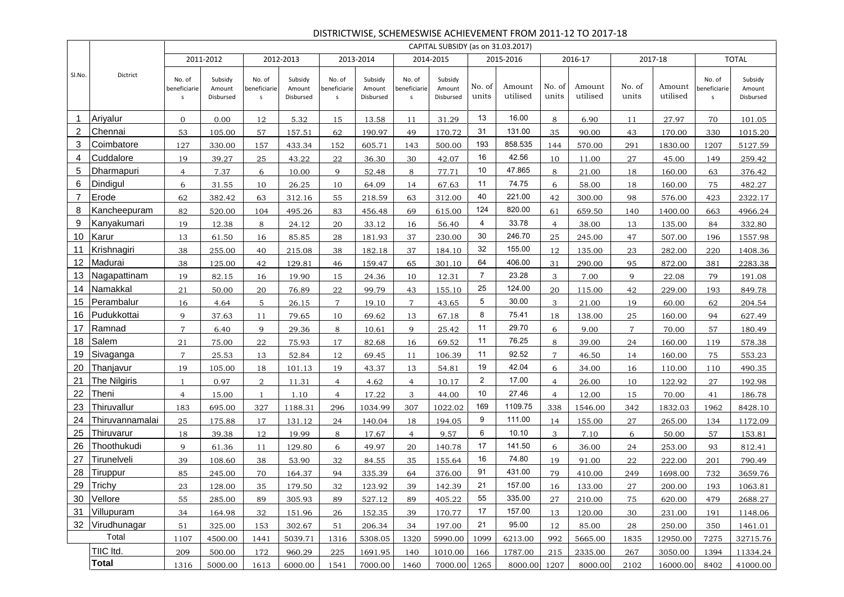#### DISTRICTWISE, SCHEMESWISE ACHIEVEMENT FROM 2011-12 TO 2017-18

|                |                 |                             |                                |                             |                                |                             |                                |                             | CAPITAL SUBSIDY (as on 31.03.2017) |                 |                    |                 |                    |                 |                    |                             |                                |
|----------------|-----------------|-----------------------------|--------------------------------|-----------------------------|--------------------------------|-----------------------------|--------------------------------|-----------------------------|------------------------------------|-----------------|--------------------|-----------------|--------------------|-----------------|--------------------|-----------------------------|--------------------------------|
|                |                 |                             | 2011-2012                      |                             | 2012-2013                      |                             | 2013-2014                      |                             | 2014-2015                          |                 | 2015-2016          |                 | 2016-17            |                 | 2017-18            |                             | <b>TOTAL</b>                   |
| Sl.No.         | Dictrict        | No. of<br>beneficiarie<br>s | Subsidy<br>Amount<br>Disbursed | No. of<br>beneficiarie<br>S | Subsidy<br>Amount<br>Disbursed | No. of<br>beneficiarie<br>s | Subsidy<br>Amount<br>Disbursed | No. of<br>beneficiarie<br>S | Subsidy<br>Amount<br>Disbursed     | No. of<br>units | Amount<br>utilised | No. of<br>units | Amount<br>utilised | No. of<br>units | Amount<br>utilised | No. of<br>beneficiarie<br>s | Subsidy<br>Amount<br>Disbursed |
| 1              | Ariyalur        | $\overline{0}$              | 0.00                           | 12                          | 5.32                           | 15                          | 13.58                          | 11                          | 31.29                              | 13              | 16.00              | 8               | 6.90               | 11              | 27.97              | 70                          | 101.05                         |
| 2              | Chennai         | 53                          | 105.00                         | 57                          | 157.51                         | 62                          | 190.97                         | 49                          | 170.72                             | 31              | 131.00             | 35              | 90.00              | 43              | 170.00             | 330                         | 1015.20                        |
| 3              | Coimbatore      | 127                         | 330.00                         | 157                         | 433.34                         | 152                         | 605.71                         | 143                         | 500.00                             | 193             | 858.535            | 144             | 570.00             | 291             | 1830.00            | 1207                        | 5127.59                        |
| 4              | Cuddalore       | 19                          | 39.27                          | 25                          | 43.22                          | 22                          | 36.30                          | 30                          | 42.07                              | 16              | 42.56              | 10              | 11.00              | 27              | 45.00              | 149                         | 259.42                         |
| 5              | Dharmapuri      | $\overline{4}$              | 7.37                           | 6                           | 10.00                          | 9                           | 52.48                          | 8                           | 77.71                              | 10              | 47.865             | 8               | 21.00              | 18              | 160.00             | 63                          | 376.42                         |
| 6              | Dindigul        | 6                           | 31.55                          | 10                          | 26.25                          | 10                          | 64.09                          | 14                          | 67.63                              | 11              | 74.75              | 6               | 58.00              | 18              | 160.00             | 75                          | 482.27                         |
| $\overline{7}$ | Erode           | 62                          | 382.42                         | 63                          | 312.16                         | 55                          | 218.59                         | 63                          | 312.00                             | 40              | 221.00             | 42              | 300.00             | 98              | 576.00             | 423                         | 2322.17                        |
| 8              | Kancheepuram    | 82                          | 520.00                         | 104                         | 495.26                         | 83                          | 456.48                         | 69                          | 615.00                             | 124             | 820.00             | 61              | 659.50             | 140             | 1400.00            | 663                         | 4966.24                        |
| 9              | Kanyakumari     | 19                          | 12.38                          | 8                           | 24.12                          | 20                          | 33.12                          | 16                          | 56.40                              | 4               | 33.78              | $\overline{4}$  | 38.00              | 13              | 135.00             | 84                          | 332.80                         |
| 10             | Karur           | 13                          | 61.50                          | 16                          | 85.85                          | 28                          | 181.93                         | 37                          | 230.00                             | 30              | 246.70             | 25              | 245.00             | 47              | 507.00             | 196                         | 1557.98                        |
| 11             | Krishnagiri     | 38                          | 255.00                         | 40                          | 215.08                         | 38                          | 182.18                         | 37                          | 184.10                             | 32              | 155.00             | 12              | 135.00             | 23              | 282.00             | 220                         | 1408.36                        |
| 12             | Madurai         | 38                          | 125.00                         | 42                          | 129.81                         | 46                          | 159.47                         | 65                          | 301.10                             | 64              | 406.00             | 31              | 290.00             | 95              | 872.00             | 381                         | 2283.38                        |
| 13             | Nagapattinam    | 19                          | 82.15                          | 16                          | 19.90                          | 15                          | 24.36                          | 10                          | 12.31                              | $\overline{7}$  | 23.28              | 3               | 7.00               | 9               | 22.08              | 79                          | 191.08                         |
| 14             | Namakkal        | 21                          | 50.00                          | 20                          | 76.89                          | 22                          | 99.79                          | 43                          | 155.10                             | 25              | 124.00             | 20              | 115.00             | 42              | 229.00             | 193                         | 849.78                         |
| 15             | Perambalur      | 16                          | 4.64                           | 5                           | 26.15                          | $\overline{7}$              | 19.10                          | $\overline{7}$              | 43.65                              | 5               | 30.00              | 3               | 21.00              | 19              | 60.00              | 62                          | 204.54                         |
| 16             | Pudukkottai     | 9                           | 37.63                          | 11                          | 79.65                          | 10                          | 69.62                          | 13                          | 67.18                              | 8               | 75.41              | 18              | 138.00             | 25              | 160.00             | 94                          | 627.49                         |
| 17             | Ramnad          | $\overline{7}$              | 6.40                           | 9                           | 29.36                          | 8                           | 10.61                          | 9                           | 25.42                              | 11              | 29.70              | 6               | 9.00               | $\overline{7}$  | 70.00              | 57                          | 180.49                         |
| 18             | Salem           | 21                          | 75.00                          | 22                          | 75.93                          | 17                          | 82.68                          | 16                          | 69.52                              | 11              | 76.25              | 8               | 39.00              | 24              | 160.00             | 119                         | 578.38                         |
| 19             | Sivaganga       | $\overline{7}$              | 25.53                          | 13                          | 52.84                          | 12                          | 69.45                          | 11                          | 106.39                             | 11              | 92.52              | $\overline{7}$  | 46.50              | 14              | 160.00             | 75                          | 553.23                         |
| 20             | Thanjavur       | 19                          | 105.00                         | 18                          | 101.13                         | 19                          | 43.37                          | 13                          | 54.81                              | 19              | 42.04              | 6               | 34.00              | 16              | 110.00             | 110                         | 490.35                         |
| 21             | The Nilgiris    | $\mathbf{1}$                | 0.97                           | 2                           | 11.31                          | $\overline{4}$              | 4.62                           | $\overline{4}$              | 10.17                              | $\overline{2}$  | 17.00              | $\overline{4}$  | 26.00              | 10              | 122.92             | 27                          | 192.98                         |
| 22             | Theni           | $\overline{4}$              | 15.00                          | 1                           | 1.10                           | $\overline{4}$              | 17.22                          | 3                           | 44.00                              | 10              | 27.46              | $\overline{4}$  | 12.00              | 15              | 70.00              | 41                          | 186.78                         |
| 23             | Thiruvallur     | 183                         | 695.00                         | 327                         | 1188.31                        | 296                         | 1034.99                        | 307                         | 1022.02                            | 169             | 1109.75            | 338             | 1546.00            | 342             | 1832.03            | 1962                        | 8428.10                        |
| 24             | Thiruvannamalai | 25                          | 175.88                         | 17                          | 131.12                         | 24                          | 140.04                         | 18                          | 194.05                             | 9               | 111.00             | 14              | 155.00             | 27              | 265.00             | 134                         | 1172.09                        |
| 25             | Thiruvarur      | 18                          | 39.38                          | 12                          | 19.99                          | 8                           | 17.67                          | $\overline{4}$              | 9.57                               | 6               | 10.10              | 3               | 7.10               | 6               | 50.00              | 57                          | 153.81                         |
| 26             | Thoothukudi     | 9                           | 61.36                          | 11                          | 129.80                         | 6                           | 49.97                          | 20                          | 140.78                             | 17              | 141.50             | 6               | 36.00              | 24              | 253.00             | 93                          | 812.41                         |
| 27             | Tirunelveli     | 39                          | 108.60                         | 38                          | 53.90                          | 32                          | 84.55                          | 35                          | 155.64                             | 16              | 74.80              | 19              | 91.00              | 22              | 222.00             | 201                         | 790.49                         |
| 28             | Tiruppur        | 85                          | 245.00                         | 70                          | 164.37                         | 94                          | 335.39                         | 64                          | 376.00                             | 91              | 431.00             | 79              | 410.00             | 249             | 1698.00            | 732                         | 3659.76                        |
| 29             | Trichy          | 23                          | 128.00                         | 35                          | 179.50                         | 32                          | 123.92                         | 39                          | 142.39                             | 21              | 157.00             | 16              | 133.00             | 27              | 200.00             | 193                         | 1063.81                        |
|                | 30 Vellore      | 55                          | 285.00                         | 89                          | 305.93                         | 89                          | 527.12                         | 89                          | 405.22                             | 55              | 335.00             | 27              | 210.00             | 75              | 620.00             | 479                         | 2688.27                        |
| 31             | Villupuram      | 34                          | 164.98                         | 32                          | 151.96                         | 26                          | 152.35                         | 39                          | 170.77                             | 17              | 157.00             | 13              | 120.00             | 30              | 231.00             | 191                         | 1148.06                        |
| 32             | Virudhunagar    | 51                          | 325.00                         | 153                         | 302.67                         | 51                          | 206.34                         | 34                          | 197.00                             | 21              | 95.00              | 12              | 85.00              | 28              | 250.00             | 350                         | 1461.01                        |
|                | Total           | 1107                        | 4500.00                        | 1441                        | 5039.71                        | 1316                        | 5308.05                        | 1320                        | 5990.00                            | 1099            | 6213.00            | 992             | 5665.00            | 1835            | 12950.00           | 7275                        | 32715.76                       |
|                | TIIC Itd.       | 209                         | 500.00                         | 172                         | 960.29                         | 225                         | 1691.95                        | 140                         | 1010.00                            | 166             | 1787.00            | 215             | 2335.00            | 267             | 3050.00            | 1394                        | 11334.24                       |
|                | <b>Total</b>    | 1316                        | 5000.00                        | 1613                        | 6000.00                        | 1541                        | 7000.00                        | 1460                        | 7000.00 1265                       |                 | 8000.00            | 1207            | 8000.00            | 2102            | 16000.00           | 8402                        | 41000.00                       |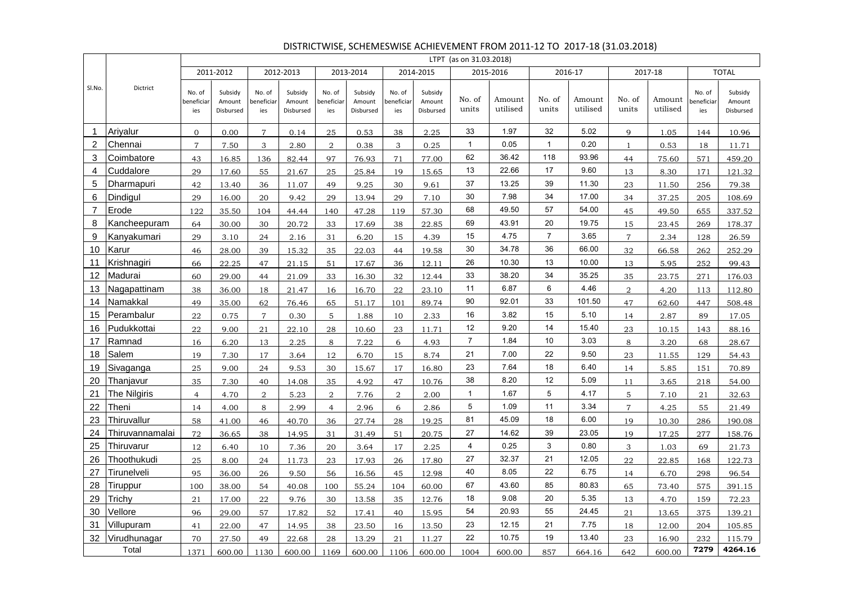|              |                 |                            |                                |                             |                                |                             |                                |                             |                                | LTPT (as on 31.03.2018) |                    |                 |                    |                 |                    |                             |                                |
|--------------|-----------------|----------------------------|--------------------------------|-----------------------------|--------------------------------|-----------------------------|--------------------------------|-----------------------------|--------------------------------|-------------------------|--------------------|-----------------|--------------------|-----------------|--------------------|-----------------------------|--------------------------------|
|              |                 |                            | 2011-2012                      |                             | 2012-2013                      |                             | 2013-2014                      |                             | 2014-2015                      |                         | 2015-2016          |                 | 2016-17            |                 | 2017-18            |                             | <b>TOTAL</b>                   |
| SI.No.       | Dictrict        | No. of<br>beneficia<br>ies | Subsidy<br>Amount<br>Disbursed | No. of<br>beneficiar<br>ies | Subsidy<br>Amount<br>Disbursed | No. of<br>beneficiar<br>ies | Subsidy<br>Amount<br>Disbursed | No. of<br>beneficiar<br>ies | Subsidy<br>Amount<br>Disbursed | No. of<br>units         | Amount<br>utilised | No. of<br>units | Amount<br>utilised | No. of<br>units | Amount<br>utilised | No. of<br>beneficiar<br>ies | Subsidy<br>Amount<br>Disbursed |
| $\mathbf{1}$ | Arivalur        | $\overline{0}$             | 0.00                           | $\overline{7}$              | 0.14                           | 25                          | 0.53                           | 38                          | 2.25                           | 33                      | 1.97               | 32              | 5.02               | $\mathbf{Q}$    | 1.05               | 144                         | 10.96                          |
| 2            | Chennai         | $\overline{7}$             | 7.50                           | 3                           | 2.80                           | $\overline{2}$              | 0.38                           | 3                           | 0.25                           | $\mathbf{1}$            | 0.05               | $\mathbf{1}$    | 0.20               | $\mathbf{1}$    | 0.53               | 18                          | 11.71                          |
| 3            | Coimbatore      | 43                         | 16.85                          | 136                         | 82.44                          | 97                          | 76.93                          | 71                          | 77.00                          | 62                      | 36.42              | 118             | 93.96              | 44              | 75.60              | 571                         | 459.20                         |
| 4            | Cuddalore       | 29                         | 17.60                          | 55                          | 21.67                          | 25                          | 25.84                          | 19                          | 15.65                          | 13                      | 22.66              | 17              | 9.60               | 13              | 8.30               | 171                         | 121.32                         |
| 5            | Dharmapuri      | 42                         | 13.40                          | 36                          | 11.07                          | 49                          | 9.25                           | 30                          | 9.61                           | 37                      | 13.25              | 39              | 11.30              | 23              | 11.50              | 256                         | 79.38                          |
| 6            | Dindigul        | 29                         | 16.00                          | 20                          | 9.42                           | 29                          | 13.94                          | 29                          | 7.10                           | 30                      | 7.98               | 34              | 17.00              | 34              | 37.25              | 205                         | 108.69                         |
| 7            | Erode           | 122                        | 35.50                          | 104                         | 44.44                          | 140                         | 47.28                          | 119                         | 57.30                          | 68                      | 49.50              | 57              | 54.00              | 45              | 49.50              | 655                         | 337.52                         |
| 8            | Kancheepuram    | 64                         | 30.00                          | 30                          | 20.72                          | 33                          | 17.69                          | 38                          | 22.85                          | 69                      | 43.91              | 20              | 19.75              | 15              | 23.45              | 269                         | 178.37                         |
| 9            | Kanyakumari     | 29                         | 3.10                           | 24                          | 2.16                           | 31                          | 6.20                           | 15                          | 4.39                           | 15                      | 4.75               | $\overline{7}$  | 3.65               | $\overline{7}$  | 2.34               | 128                         | 26.59                          |
| 10           | Karur           | 46                         | 28.00                          | 39                          | 15.32                          | 35                          | 22.03                          | 44                          | 19.58                          | 30                      | 34.78              | 36              | 66.00              | 32              | 66.58              | 262                         | 252.29                         |
| 11           | Krishnagiri     | 66                         | 22.25                          | 47                          | 21.15                          | 51                          | 17.67                          | 36                          | 12.11                          | 26                      | 10.30              | 13              | 10.00              | 13              | 5.95               | 252                         | 99.43                          |
| 12           | Madurai         | 60                         | 29.00                          | 44                          | 21.09                          | 33                          | 16.30                          | 32                          | 12.44                          | 33                      | 38.20              | 34              | 35.25              | 35              | 23.75              | 271                         | 176.03                         |
| 13           | Nagapattinam    | 38                         | 36.00                          | 18                          | 21.47                          | 16                          | 16.70                          | 22                          | 23.10                          | 11                      | 6.87               | 6               | 4.46               | $\mathfrak{D}$  | 4.20               | 113                         | 112.80                         |
| 14           | Namakkal        | 49                         | 35.00                          | 62                          | 76.46                          | 65                          | 51.17                          | 101                         | 89.74                          | 90                      | 92.01              | 33              | 101.50             | 47              | 62.60              | 447                         | 508.48                         |
| 15           | Perambalur      | 22                         | 0.75                           | $\overline{7}$              | 0.30                           | 5                           | 1.88                           | 10                          | 2.33                           | 16                      | 3.82               | 15              | 5.10               | 14              | 2.87               | 89                          | 17.05                          |
| 16           | Pudukkottai     | 22                         | 9.00                           | 21                          | 22.10                          | 28                          | 10.60                          | 23                          | 11.71                          | 12                      | 9.20               | 14              | 15.40              | 23              | 10.15              | 143                         | 88.16                          |
| 17           | Ramnad          | 16                         | 6.20                           | 13                          | 2.25                           | 8                           | 7.22                           | 6                           | 4.93                           | $\overline{7}$          | 1.84               | 10              | 3.03               | 8               | 3.20               | 68                          | 28.67                          |
| 18           | Salem           | 19                         | 7.30                           | 17                          | 3.64                           | 12                          | 6.70                           | 15                          | 8.74                           | 21                      | 7.00               | 22              | 9.50               | 23              | 11.55              | 129                         | 54.43                          |
| 19           | Sivaganga       | 25                         | 9.00                           | 24                          | 9.53                           | 30                          | 15.67                          | 17                          | 16.80                          | 23                      | 7.64               | 18              | 6.40               | 14              | 5.85               | 151                         | 70.89                          |
| 20           | Thanjavur       | 35                         | 7.30                           | 40                          | 14.08                          | 35                          | 4.92                           | 47                          | 10.76                          | 38                      | 8.20               | 12              | 5.09               | 11              | 3.65               | 218                         | 54.00                          |
| 21           | The Nilgiris    | $\overline{4}$             | 4.70                           | 2                           | 5.23                           | 2                           | 7.76                           | $\overline{2}$              | 2.00                           | $\mathbf{1}$            | 1.67               | 5               | 4.17               | 5               | 7.10               | 21                          | 32.63                          |
| 22           | Theni           | 14                         | 4.00                           | 8                           | 2.99                           | $\overline{4}$              | 2.96                           | 6                           | 2.86                           | 5                       | 1.09               | 11              | 3.34               | $\overline{7}$  | 4.25               | 55                          | 21.49                          |
| 23           | Thiruvallur     | 58                         | 41.00                          | 46                          | 40.70                          | 36                          | 27.74                          | 28                          | 19.25                          | 81                      | 45.09              | 18              | 6.00               | 19              | 10.30              | 286                         | 190.08                         |
| 24           | Thiruvannamalai | 72                         | 36.65                          | 38                          | 14.95                          | 31                          | 31.49                          | 51                          | 20.75                          | 27                      | 14.62              | 39              | 23.05              | 19              | 17.25              | 277                         | 158.76                         |
| 25           | Thiruvarur      | 12                         | 6.40                           | 10                          | 7.36                           | 20                          | 3.64                           | 17                          | 2.25                           | 4                       | 0.25               | 3               | 0.80               | 3               | 1.03               | 69                          | 21.73                          |
| 26           | Thoothukudi     | 25                         | 8.00                           | 24                          | 11.73                          | 23                          | 17.93                          | 26                          | 17.80                          | 27                      | 32.37              | 21              | 12.05              | 22              | 22.85              | 168                         | 122.73                         |
| 27           | Tirunelveli     | 95                         | 36.00                          | 26                          | 9.50                           | 56                          | 16.56                          | 45                          | 12.98                          | 40                      | 8.05               | 22              | 6.75               | 14              | 6.70               | 298                         | 96.54                          |
| 28           | Tiruppur        | 100                        | 38.00                          | 54                          | 40.08                          | 100                         | 55.24                          | 104                         | 60.00                          | 67                      | 43.60              | 85              | 80.83              | 65              | 73.40              | 575                         | 391.15                         |
| 29           | Trichy          | 21                         | 17.00                          | 22                          | 9.76                           | 30                          | 13.58                          | 35                          | 12.76                          | 18                      | 9.08               | 20              | 5.35               | 13              | 4.70               | 159                         | 72.23                          |
| 30           | Vellore         | 96                         | 29.00                          | 57                          | 17.82                          | 52                          | 17.41                          | 40                          | 15.95                          | 54                      | 20.93              | 55              | 24.45              | 21              | 13.65              | 375                         | 139.21                         |
| 31           | Villupuram      | 41                         | 22.00                          | 47                          | 14.95                          | 38                          | 23.50                          | 16                          | 13.50                          | 23                      | 12.15              | 21              | 7.75               | 18              | 12.00              | 204                         | 105.85                         |
| 32           | Virudhunagar    | 70                         | 27.50                          | 49                          | 22.68                          | 28                          | 13.29                          | 21                          | 11.27                          | 22                      | 10.75              | 19              | 13.40              | 23              | 16.90              | 232                         | 115.79                         |
|              | Total           | 1371                       | 600.00                         | 1130                        | 600.00                         | 1169                        | 600.00                         | 1106                        | 600.00                         | 1004                    | 600.00             | 857             | 664.16             | 642             | 600.00             | 7279                        | 4264.16                        |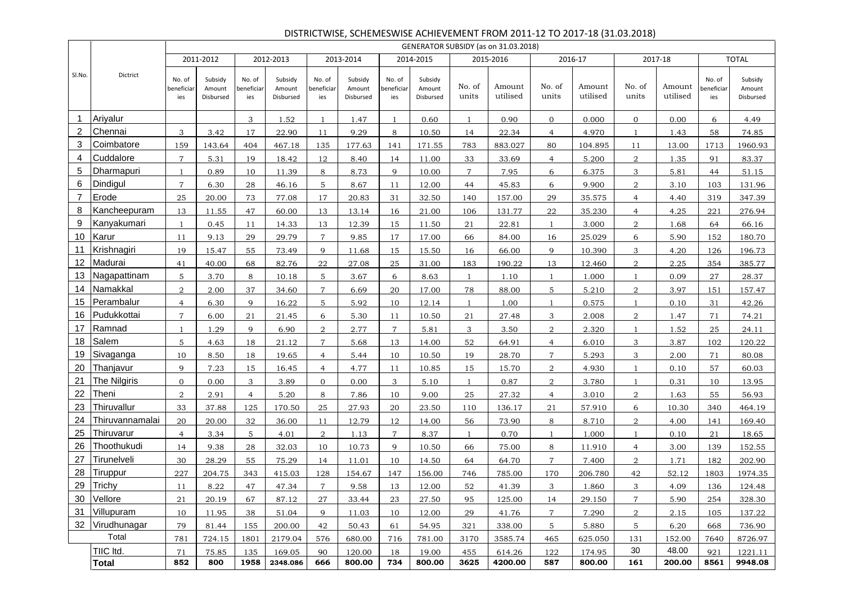|                |                     |                            |                                |                             |                                |                             |                                |                             |                                |                 | GENERATOR SUBSIDY (as on 31.03.2018) |                 |                    |                 |                    |                             |                                |
|----------------|---------------------|----------------------------|--------------------------------|-----------------------------|--------------------------------|-----------------------------|--------------------------------|-----------------------------|--------------------------------|-----------------|--------------------------------------|-----------------|--------------------|-----------------|--------------------|-----------------------------|--------------------------------|
|                |                     |                            | 2011-2012                      |                             | 2012-2013                      |                             | 2013-2014                      |                             | 2014-2015                      |                 | 2015-2016                            |                 | 2016-17            |                 | 2017-18            |                             | <b>TOTAL</b>                   |
| SI.No.         | Dictrict            | No. of<br>beneficia<br>ies | Subsidy<br>Amount<br>Disbursed | No. of<br>beneficiar<br>ies | Subsidy<br>Amount<br>Disbursed | No. of<br>beneficiar<br>ies | Subsidy<br>Amount<br>Disbursed | No. of<br>beneficiar<br>ies | Subsidy<br>Amount<br>Disbursed | No. of<br>units | Amount<br>utilised                   | No. of<br>units | Amount<br>utilised | No. of<br>units | Amount<br>utilised | No. of<br>beneficiar<br>ies | Subsidy<br>Amount<br>Disbursed |
| -1             | Ariyalur            |                            |                                | 3                           | 1.52                           | $\mathbf{1}$                | 1.47                           | 1                           | 0.60                           | $\mathbf{1}$    | 0.90                                 | $\overline{0}$  | 0.000              | $\overline{0}$  | 0.00               | 6                           | 4.49                           |
| 2              | Chennai             | 3                          | 3.42                           | 17                          | 22.90                          | 11                          | 9.29                           | 8                           | 10.50                          | 14              | 22.34                                | $\overline{4}$  | 4.970              | $\mathbf{1}$    | 1.43               | 58                          | 74.85                          |
| 3              | Coimbatore          | 159                        | 143.64                         | 404                         | 467.18                         | 135                         | 177.63                         | 141                         | 171.55                         | 783             | 883.027                              | 80              | 104.895            | 11              | 13.00              | 1713                        | 1960.93                        |
| 4              | Cuddalore           | $\overline{7}$             | 5.31                           | 19                          | 18.42                          | 12                          | 8.40                           | 14                          | 11.00                          | 33              | 33.69                                | $\overline{4}$  | 5.200              | 2               | 1.35               | 91                          | 83.37                          |
| 5              | Dharmapuri          |                            | 0.89                           | 10                          | 11.39                          | 8                           | 8.73                           | 9                           | 10.00                          | $\overline{7}$  | 7.95                                 | 6               | 6.375              | 3               | 5.81               | 44                          | 51.15                          |
| 6              | Dindigul            | $\overline{7}$             | 6.30                           | 28                          | 46.16                          | 5 <sup>5</sup>              | 8.67                           | 11                          | 12.00                          | 44              | 45.83                                | 6               | 9.900              | $\overline{2}$  | 3.10               | 103                         | 131.96                         |
| $\overline{7}$ | Erode               | 25                         | 20.00                          | 73                          | 77.08                          | 17                          | 20.83                          | 31                          | 32.50                          | 140             | 157.00                               | 29              | 35.575             | $\overline{4}$  | 4.40               | 319                         | 347.39                         |
| 8              | Kancheepuram        | 13                         | 11.55                          | 47                          | 60.00                          | 13                          | 13.14                          | 16                          | 21.00                          | 106             | 131.77                               | 22              | 35.230             | $\overline{4}$  | 4.25               | 221                         | 276.94                         |
| 9              | Kanyakumari         | $\mathbf{1}$               | 0.45                           | 11                          | 14.33                          | 13                          | 12.39                          | 15                          | 11.50                          | 21              | 22.81                                | 1               | 3.000              | 2               | 1.68               | 64                          | 66.16                          |
| 10             | Karur               | 11                         | 9.13                           | 29                          | 29.79                          | $\overline{7}$              | 9.85                           | 17                          | 17.00                          | 66              | 84.00                                | 16              | 25.029             | 6               | 5.90               | 152                         | 180.70                         |
| 11             | Krishnagiri         | 19                         | 15.47                          | 55                          | 73.49                          | 9                           | 11.68                          | 15                          | 15.50                          | 16              | 66.00                                | 9               | 10.390             | 3               | 4.20               | 126                         | 196.73                         |
| 12             | Madurai             | 41                         | 40.00                          | 68                          | 82.76                          | $\bf{22}$                   | 27.08                          | 25                          | 31.00                          | 183             | 190.22                               | 13              | 12.460             | $\overline{a}$  | 2.25               | 354                         | 385.77                         |
| 13             | Nagapattinam        | 5                          | 3.70                           | 8                           | 10.18                          | 5                           | 3.67                           | 6                           | 8.63                           | $\mathbf{1}$    | 1.10                                 | $\mathbf{1}$    | 1.000              | $\mathbf{1}$    | 0.09               | 27                          | 28.37                          |
| 14             | Namakkal            | $\overline{2}$             | 2.00                           | 37                          | 34.60                          | $\overline{7}$              | 6.69                           | 20                          | 17.00                          | 78              | 88.00                                | 5               | 5.210              | $\overline{2}$  | 3.97               | 151                         | 157.47                         |
| 15             | Perambalur          | $\overline{4}$             | 6.30                           | 9                           | 16.22                          | 5                           | 5.92                           | 10                          | 12.14                          | $\mathbf{1}$    | 1.00                                 | $\mathbf{1}$    | 0.575              | $\mathbf{1}$    | 0.10               | 31                          | 42.26                          |
| 16             | Pudukkottai         | $\overline{7}$             | 6.00                           | 21                          | 21.45                          | 6                           | 5.30                           | 11                          | 10.50                          | 21              | 27.48                                | 3               | 2.008              | $\overline{2}$  | 1.47               | 71                          | 74.21                          |
| 17             | Ramnad              | -1                         | 1.29                           | 9                           | 6.90                           | $\overline{2}$              | 2.77                           | $\overline{7}$              | 5.81                           | 3               | 3.50                                 | $\overline{2}$  | 2.320              | $\mathbf{1}$    | 1.52               | 25                          | 24.11                          |
| 18             | Salem               | 5                          | 4.63                           | 18                          | 21.12                          | $\overline{7}$              | 5.68                           | 13                          | 14.00                          | 52              | 64.91                                | $\overline{4}$  | 6.010              | 3               | 3.87               | 102                         | 120.22                         |
| 19             | Sivaganga           | 10                         | 8.50                           | 18                          | 19.65                          | $\overline{4}$              | 5.44                           | 10                          | 10.50                          | 19              | 28.70                                | $\overline{7}$  | 5.293              | 3               | 2.00               | 71                          | 80.08                          |
| 20             | Thanjavur           | 9                          | 7.23                           | 15                          | 16.45                          | $\overline{4}$              | 4.77                           | 11                          | 10.85                          | 15              | 15.70                                | 2               | 4.930              | $\mathbf{1}$    | 0.10               | 57                          | 60.03                          |
| 21             | <b>The Nilgiris</b> | $\overline{0}$             | 0.00                           | 3                           | 3.89                           | $\overline{0}$              | 0.00                           | 3                           | 5.10                           | $\mathbf{1}$    | 0.87                                 | 2               | 3.780              | 1               | 0.31               | 10                          | 13.95                          |
| 22             | Theni               | $\overline{2}$             | 2.91                           | $\overline{4}$              | 5.20                           | 8                           | 7.86                           | 10                          | 9.00                           | 25              | 27.32                                | $\overline{4}$  | 3.010              | $\overline{2}$  | 1.63               | 55                          | 56.93                          |
| 23             | Thiruvallur         | 33                         | 37.88                          | 125                         | 170.50                         | 25                          | 27.93                          | 20                          | 23.50                          | 110             | 136.17                               | 21              | 57.910             | 6               | 10.30              | 340                         | 464.19                         |
| 24             | Thiruvannamalai     | 20                         | 20.00                          | 32                          | 36.00                          | 11                          | 12.79                          | 12                          | 14.00                          | 56              | 73.90                                | 8               | 8.710              | 2               | 4.00               | 141                         | 169.40                         |
| 25             | Thiruvarur          | $\overline{4}$             | 3.34                           | 5                           | 4.01                           | $\overline{2}$              | 1.13                           | $\overline{7}$              | 8.37                           | $\mathbf{1}$    | 0.70                                 | $\mathbf{1}$    | 1.000              | $\mathbf{1}$    | 0.10               | 21                          | 18.65                          |
| 26             | Thoothukudi         | 14                         | 9.38                           | 28                          | 32.03                          | 10                          | 10.73                          | 9                           | 10.50                          | 66              | 75.00                                | 8               | 11.910             | $\overline{4}$  | 3.00               | 139                         | 152.55                         |
| 27             | Tirunelveli         | 30                         | 28.29                          | 55                          | 75.29                          | 14                          | 11.01                          | 10                          | 14.50                          | 64              | 64.70                                | $\overline{7}$  | 7.400              | 2               | 1.71               | 182                         | 202.90                         |
| 28             | Tiruppur            | 227                        | 204.75                         | 343                         | 415.03                         | 128                         | 154.67                         | 147                         | 156.00                         | 746             | 785.00                               | 170             | 206.780            | 42              | 52.12              | 1803                        | 1974.35                        |
| 29             | Trichy              | 11                         | 8.22                           | 47                          | 47.34                          | $\overline{7}$              | 9.58                           | 13                          | 12.00                          | 52              | 41.39                                | 3               | 1.860              | 3               | 4.09               | 136                         | 124.48                         |
|                | 30 Vellore          | 21                         | 20.19                          | 67                          | 87.12                          | 27                          | 33.44                          | 23                          | 27.50                          | 95              | 125.00                               | 14              | 29.150             | $\overline{7}$  | 5.90               | 254                         | 328.30                         |
| 31             | Villupuram          | 10                         | 11.95                          | 38                          | 51.04                          | 9                           | 11.03                          | 10                          | 12.00                          | 29              | 41.76                                | $\overline{7}$  | 7.290              | $\overline{2}$  | 2.15               | 105                         | 137.22                         |
| 32             | Virudhunagar        | 79                         | 81.44                          | 155                         | 200.00                         | 42                          | 50.43                          | 61                          | 54.95                          | 321             | 338.00                               | 5               | 5.880              | 5               | 6.20               | 668                         | 736.90                         |
|                | Total               | 781                        | 724.15                         | 1801                        | 2179.04                        | 576                         | 680.00                         | 716                         | 781.00                         | 3170            | 3585.74                              | 465             | 625.050            | 131             | 152.00             | 7640                        | 8726.97                        |
|                | TIIC Itd.           | 71                         | 75.85                          | 135                         | 169.05                         | 90                          | 120.00                         | 18                          | 19.00                          | 455             | 614.26                               | 122             | 174.95             | 30              | 48.00              | 921                         | 1221.11                        |
|                | <b>Total</b>        | 852                        | 800                            | 1958                        | 2348.086                       | 666                         | 800.00                         | 734                         | 800.00                         | 3625            | 4200.00                              | 587             | 800.00             | 161             | 200.00             | 8561                        | 9948.08                        |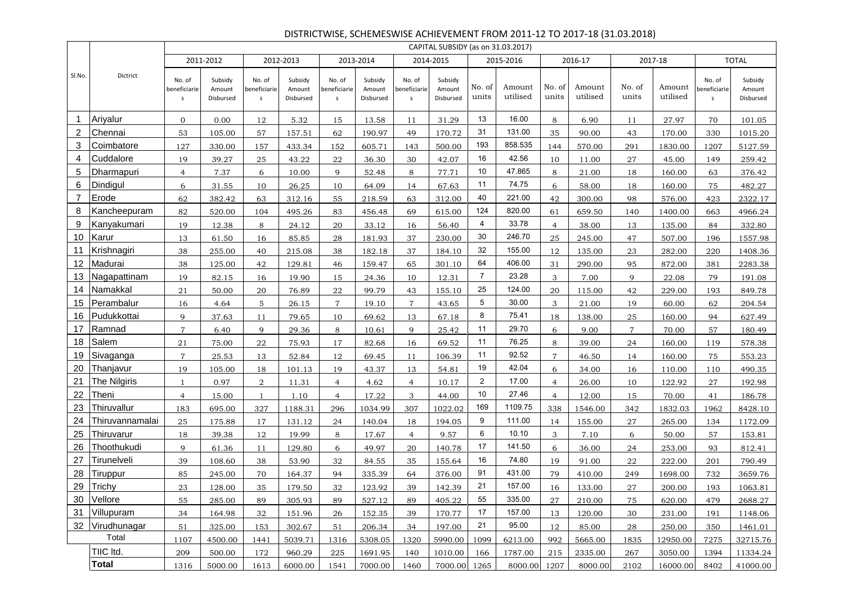|        |                 |                                       |                                |                             |                                |                                        |                                |                                       | CAPITAL SUBSIDY (as on 31.03.2017) |                 |                    |                 |                    |                 |                    |                                        |                                |
|--------|-----------------|---------------------------------------|--------------------------------|-----------------------------|--------------------------------|----------------------------------------|--------------------------------|---------------------------------------|------------------------------------|-----------------|--------------------|-----------------|--------------------|-----------------|--------------------|----------------------------------------|--------------------------------|
|        |                 |                                       | 2011-2012                      |                             | 2012-2013                      |                                        | 2013-2014                      |                                       | 2014-2015                          |                 | 2015-2016          |                 | 2016-17            |                 | 2017-18            |                                        | <b>TOTAL</b>                   |
| SI.No. | Dictrict        | No. of<br>beneficiarie<br>$\mathsf S$ | Subsidy<br>Amount<br>Disbursed | No. of<br>beneficiarie<br>s | Subsidy<br>Amount<br>Disbursed | No. of<br>beneficiarie<br>$\mathsf{s}$ | Subsidy<br>Amount<br>Disbursed | No. of<br>beneficiarie<br>$\mathsf S$ | Subsidy<br>Amount<br>Disbursed     | No. of<br>units | Amount<br>utilised | No. of<br>units | Amount<br>utilised | No. of<br>units | Amount<br>utilised | No. of<br>beneficiarie<br>$\mathsf{s}$ | Subsidy<br>Amount<br>Disbursed |
| 1      | Ariyalur        | $\overline{0}$                        | 0.00                           | 12                          | 5.32                           | 15                                     | 13.58                          | 11                                    | 31.29                              | 13              | 16.00              | 8               | 6.90               | 11              | 27.97              | 70                                     | 101.05                         |
| 2      | Chennai         | 53                                    | 105.00                         | 57                          | 157.51                         | 62                                     | 190.97                         | 49                                    | 170.72                             | 31              | 131.00             | 35              | 90.00              | 43              | 170.00             | 330                                    | 1015.20                        |
| 3      | Coimbatore      | 127                                   | 330.00                         | 157                         | 433.34                         | 152                                    | 605.71                         | 143                                   | 500.00                             | 193             | 858.535            | 144             | 570.00             | 291             | 1830.00            | 1207                                   | 5127.59                        |
| 4      | Cuddalore       | 19                                    | 39.27                          | 25                          | 43.22                          | 22                                     | 36.30                          | 30                                    | 42.07                              | 16              | 42.56              | 10              | 11.00              | 27              | 45.00              | 149                                    | 259.42                         |
| 5      | Dharmapuri      | $\overline{4}$                        | 7.37                           | 6                           | 10.00                          | 9                                      | 52.48                          | 8                                     | 77.71                              | 10              | 47.865             | 8               | 21.00              | 18              | 160.00             | 63                                     | 376.42                         |
| 6      | Dindigul        | 6                                     | 31.55                          | 10                          | 26.25                          | 10                                     | 64.09                          | 14                                    | 67.63                              | 11              | 74.75              | 6               | 58.00              | 18              | 160.00             | 75                                     | 482.27                         |
| 7      | Erode           | 62                                    | 382.42                         | 63                          | 312.16                         | 55                                     | 218.59                         | 63                                    | 312.00                             | 40              | 221.00             | 42              | 300.00             | 98              | 576.00             | 423                                    | 2322.17                        |
| 8      | Kancheepuram    | 82                                    | 520.00                         | 104                         | 495.26                         | 83                                     | 456.48                         | 69                                    | 615.00                             | 124             | 820.00             | 61              | 659.50             | 140             | 1400.00            | 663                                    | 4966.24                        |
| 9      | Kanyakumari     | 19                                    | 12.38                          | 8                           | 24.12                          | 20                                     | 33.12                          | 16                                    | 56.40                              | $\overline{4}$  | 33.78              | $\overline{4}$  | 38.00              | 13              | 135.00             | 84                                     | 332.80                         |
| 10     | Karur           | 13                                    | 61.50                          | 16                          | 85.85                          | 28                                     | 181.93                         | 37                                    | 230.00                             | 30              | 246.70             | 25              | 245.00             | 47              | 507.00             | 196                                    | 1557.98                        |
| 11     | Krishnagiri     | 38                                    | 255.00                         | 40                          | 215.08                         | 38                                     | 182.18                         | 37                                    | 184.10                             | 32              | 155.00             | 12              | 135.00             | 23              | 282.00             | 220                                    | 1408.36                        |
|        | 12 Madurai      | 38                                    | 125.00                         | 42                          | 129.81                         | 46                                     | 159.47                         | 65                                    | 301.10                             | 64              | 406.00             | 31              | 290.00             | 95              | 872.00             | 381                                    | 2283.38                        |
| 13     | Nagapattinam    | 19                                    | 82.15                          | 16                          | 19.90                          | 15                                     | 24.36                          | 10                                    | 12.31                              | $\overline{7}$  | 23.28              | 3               | 7.00               | 9               | 22.08              | 79                                     | 191.08                         |
| 14     | Namakkal        | 21                                    | 50.00                          | 20                          | 76.89                          | 22                                     | 99.79                          | 43                                    | 155.10                             | 25              | 124.00             | 20              | 115.00             | 42              | 229.00             | 193                                    | 849.78                         |
| 15     | Perambalur      | 16                                    | 4.64                           | 5                           | 26.15                          | 7                                      | 19.10                          | $\mathbf{7}$                          | 43.65                              | 5               | 30.00              | 3               | 21.00              | 19              | 60.00              | 62                                     | 204.54                         |
| 16     | Pudukkottai     | $\mathbf Q$                           | 37.63                          | 11                          | 79.65                          | 10                                     | 69.62                          | 13                                    | 67.18                              | 8               | 75.41              | 18              | 138.00             | 25              | 160.00             | 94                                     | 627.49                         |
| 17     | Ramnad          | $\overline{7}$                        | 6.40                           | 9                           | 29.36                          | 8                                      | 10.61                          | 9                                     | 25.42                              | 11              | 29.70              | 6               | 9.00               | $\overline{7}$  | 70.00              | 57                                     | 180.49                         |
| 18     | Salem           | 21                                    | 75.00                          | 22                          | 75.93                          | 17                                     | 82.68                          | 16                                    | 69.52                              | 11              | 76.25              | 8               | 39.00              | 24              | 160.00             | 119                                    | 578.38                         |
| 19     | Sivaganga       | $\overline{7}$                        | 25.53                          | 13                          | 52.84                          | 12                                     | 69.45                          | 11                                    | 106.39                             | 11              | 92.52              | $\overline{7}$  | 46.50              | 14              | 160.00             | 75                                     | 553.23                         |
| 20     | Thanjavur       | 19                                    | 105.00                         | 18                          | 101.13                         | 19                                     | 43.37                          | 13                                    | 54.81                              | 19              | 42.04              | 6               | 34.00              | 16              | 110.00             | 110                                    | 490.35                         |
| 21     | The Nilgiris    | 1                                     | 0.97                           | $\overline{2}$              | 11.31                          | $\overline{4}$                         | 4.62                           | $\overline{4}$                        | 10.17                              | $\overline{2}$  | 17.00              | $\overline{4}$  | 26.00              | 10              | 122.92             | 27                                     | 192.98                         |
| 22     | Theni           | $\overline{4}$                        | 15.00                          | -1                          | 1.10                           | $\overline{4}$                         | 17.22                          | 3                                     | 44.00                              | 10              | 27.46              | $\overline{4}$  | 12.00              | 15              | 70.00              | 41                                     | 186.78                         |
| 23     | Thiruvallur     | 183                                   | 695.00                         | 327                         | 1188.31                        | 296                                    | 1034.99                        | 307                                   | 1022.02                            | 169             | 1109.75            | 338             | 1546.00            | 342             | 1832.03            | 1962                                   | 8428.10                        |
| 24     | Thiruvannamalai | 25                                    | 175.88                         | 17                          | 131.12                         | 24                                     | 140.04                         | 18                                    | 194.05                             | 9               | 111.00             | 14              | 155.00             | 27              | 265.00             | 134                                    | 1172.09                        |
| 25     | Thiruvarur      | 18                                    | 39.38                          | 12                          | 19.99                          | 8                                      | 17.67                          | $\overline{4}$                        | 9.57                               | 6               | 10.10              | 3               | 7.10               | 6               | 50.00              | 57                                     | 153.81                         |
| 26     | Thoothukudi     | 9                                     | 61.36                          | 11                          | 129.80                         | 6                                      | 49.97                          | 20                                    | 140.78                             | 17              | 141.50             | 6               | 36.00              | 24              | 253.00             | 93                                     | 812.41                         |
| 27     | Tirunelveli     | 39                                    | 108.60                         | 38                          | 53.90                          | 32                                     | 84.55                          | 35                                    | 155.64                             | 16              | 74.80              | 19              | 91.00              | 22              | 222.00             | 201                                    | 790.49                         |
| 28     | Tiruppur        | 85                                    | 245.00                         | 70                          | 164.37                         | 94                                     | 335.39                         | 64                                    | 376.00                             | 91              | 431.00             | 79              | 410.00             | 249             | 1698.00            | 732                                    | 3659.76                        |
| 29     | Trichy          | 23                                    | 128.00                         | 35                          | 179.50                         | 32                                     | 123.92                         | 39                                    | 142.39                             | 21              | 157.00             | 16              | 133.00             | 27              | 200.00             | 193                                    | 1063.81                        |
|        | 30 Vellore      | 55                                    | 285.00                         | 89                          | 305.93                         | 89                                     | 527.12                         | 89                                    | 405.22                             | 55              | 335.00             | 27              | 210.00             | 75              | 620.00             | 479                                    | 2688.27                        |
|        | 31 Villupuram   | 34                                    | 164.98                         | 32                          | 151.96                         | 26                                     | 152.35                         | 39                                    | 170.77                             | 17              | 157.00             | 13              | 120.00             | 30              | 231.00             | 191                                    | 1148.06                        |
|        | 32 Virudhunagar | 51                                    | 325.00                         | 153                         | 302.67                         | 51                                     | 206.34                         | 34                                    | 197.00                             | 21              | 95.00              | 12              | 85.00              | 28              | 250.00             | 350                                    | 1461.01                        |
|        | Total           | 1107                                  | 4500.00                        | 1441                        | 5039.71                        | 1316                                   | 5308.05                        | 1320                                  | 5990.00                            | 1099            | 6213.00            | 992             | 5665.00            | 1835            | 12950.00           | 7275                                   | 32715.76                       |
|        | TIIC Itd.       | 209                                   | 500.00                         | 172                         | 960.29                         | 225                                    | 1691.95                        | 140                                   | 1010.00                            | 166             | 1787.00            | 215             | 2335.00            | 267             | 3050.00            | 1394                                   | 11334.24                       |
|        | <b>Total</b>    | 1316                                  | 5000.00                        | 1613                        | 6000.00                        | 1541                                   | 7000.00                        | 1460                                  | 7000.00 1265                       |                 | 8000.00 1207       |                 | 8000.00            | 2102            | 16000.00           | 8402                                   | 41000.00                       |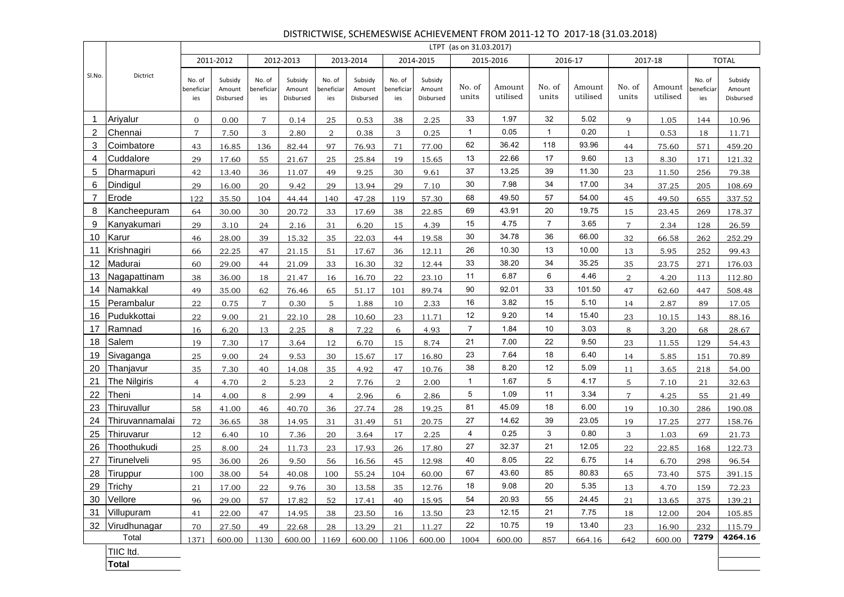|                |                 |                             |                                |                             |                                |                             |                                |                            |                                | LTPT (as on 31.03.2017) |                    |                 |                    |                 |                    |                                    |                                |
|----------------|-----------------|-----------------------------|--------------------------------|-----------------------------|--------------------------------|-----------------------------|--------------------------------|----------------------------|--------------------------------|-------------------------|--------------------|-----------------|--------------------|-----------------|--------------------|------------------------------------|--------------------------------|
|                |                 |                             | 2011-2012                      |                             | 2012-2013                      |                             | 2013-2014                      |                            | 2014-2015                      |                         | 2015-2016          |                 | 2016-17            |                 | 2017-18            |                                    | <b>TOTAL</b>                   |
| SI.No.         | <b>Dictrict</b> | No. of<br>beneficiar<br>ies | Subsidy<br>Amount<br>Disbursed | No. of<br>beneficiar<br>ies | Subsidy<br>Amount<br>Disbursed | No. of<br>beneficiar<br>ies | Subsidy<br>Amount<br>Disbursed | No. of<br>eneficiar<br>ies | Subsidy<br>Amount<br>Disbursed | No. of<br>units         | Amount<br>utilised | No. of<br>units | Amount<br>utilised | No. of<br>units | Amount<br>utilised | No. of<br><b>peneficiar</b><br>ies | Subsidy<br>Amount<br>Disbursed |
| $\overline{1}$ | Ariyalur        | $\mathbf{0}$                | 0.00                           | $\overline{7}$              | 0.14                           | 25                          | 0.53                           | 38                         | 2.25                           | 33                      | 1.97               | 32              | 5.02               | 9               | 1.05               | 144                                | 10.96                          |
| $\overline{2}$ | Chennai         | $\overline{7}$              | 7.50                           | 3                           | 2.80                           | $\overline{2}$              | 0.38                           | 3                          | 0.25                           | $\mathbf{1}$            | 0.05               | $\mathbf{1}$    | 0.20               | $\mathbf{1}$    | 0.53               | 18                                 | 11.71                          |
| 3              | Coimbatore      | 43                          | 16.85                          | 136                         | 82.44                          | 97                          | 76.93                          | 71                         | 77.00                          | 62                      | 36.42              | 118             | 93.96              | 44              | 75.60              | 571                                | 459.20                         |
| $\overline{4}$ | Cuddalore       | 29                          | 17.60                          | 55                          | 21.67                          | 25                          | 25.84                          | 19                         | 15.65                          | 13                      | 22.66              | 17              | 9.60               | 13              | 8.30               | 171                                | 121.32                         |
| 5              | Dharmapuri      | 42                          | 13.40                          | 36                          | 11.07                          | 49                          | 9.25                           | 30                         | 9.61                           | 37                      | 13.25              | 39              | 11.30              | 23              | 11.50              | 256                                | 79.38                          |
| 6              | Dindigul        | 29                          | 16.00                          | 20                          | 9.42                           | 29                          | 13.94                          | 29                         | 7.10                           | 30                      | 7.98               | 34              | 17.00              | 34              | 37.25              | 205                                | 108.69                         |
| $\overline{7}$ | Erode           | 122                         | 35.50                          | 104                         | 44.44                          | 140                         | 47.28                          | 119                        | 57.30                          | 68                      | 49.50              | 57              | 54.00              | 45              | 49.50              | 655                                | 337.52                         |
| 8              | Kancheepuram    | 64                          | 30.00                          | 30                          | 20.72                          | 33                          | 17.69                          | 38                         | 22.85                          | 69                      | 43.91              | 20              | 19.75              | 15              | 23.45              | 269                                | 178.37                         |
| 9              | Kanyakumari     | 29                          | 3.10                           | 24                          | 2.16                           | 31                          | 6.20                           | 15                         | 4.39                           | 15                      | 4.75               | $\overline{7}$  | 3.65               | $\overline{7}$  | 2.34               | 128                                | 26.59                          |
| 10             | Karur           | 46                          | 28.00                          | 39                          | 15.32                          | 35                          | 22.03                          | 44                         | 19.58                          | 30                      | 34.78              | 36              | 66.00              | 32              | 66.58              | 262                                | 252.29                         |
| 11             | Krishnagiri     | 66                          | 22.25                          | 47                          | 21.15                          | 51                          | 17.67                          | 36                         | 12.11                          | 26                      | 10.30              | 13              | 10.00              | 13              | 5.95               | 252                                | 99.43                          |
| 12             | Madurai         | 60                          | 29.00                          | 44                          | 21.09                          | 33                          | 16.30                          | 32                         | 12.44                          | 33                      | 38.20              | 34              | 35.25              | 35              | 23.75              | 271                                | 176.03                         |
| 13             | Nagapattinam    | 38                          | 36.00                          | 18                          | 21.47                          | 16                          | 16.70                          | 22                         | 23.10                          | 11                      | 6.87               | 6               | 4.46               | $\overline{a}$  | 4.20               | 113                                | 112.80                         |
| 14             | Namakkal        | 49                          | 35.00                          | 62                          | 76.46                          | 65                          | 51.17                          | 101                        | 89.74                          | 90                      | 92.01              | 33              | 101.50             | 47              | 62.60              | 447                                | 508.48                         |
| 15             | Perambalur      | 22                          | 0.75                           | $\overline{7}$              | 0.30                           | 5                           | 1.88                           | 10                         | 2.33                           | 16                      | 3.82               | 15              | 5.10               | 14              | 2.87               | 89                                 | 17.05                          |
| 16             | Pudukkottai     | 22                          | 9.00                           | 21                          | 22.10                          | 28                          | 10.60                          | 23                         | 11.71                          | 12                      | 9.20               | 14              | 15.40              | 23              | 10.15              | 143                                | 88.16                          |
| 17             | Ramnad          | 16                          | 6.20                           | 13                          | 2.25                           | 8                           | 7.22                           | 6                          | 4.93                           | $\overline{7}$          | 1.84               | 10              | 3.03               | 8               | 3.20               | 68                                 | 28.67                          |
| 18             | Salem           | 19                          | 7.30                           | 17                          | 3.64                           | 12                          | 6.70                           | 15                         | 8.74                           | 21                      | 7.00               | 22              | 9.50               | 23              | 11.55              | 129                                | 54.43                          |
| 19             | Sivaganga       | 25                          | 9.00                           | 24                          | 9.53                           | 30                          | 15.67                          | 17                         | 16.80                          | 23                      | 7.64               | 18              | 6.40               | 14              | 5.85               | 151                                | 70.89                          |
| 20             | Thanjavur       | 35                          | 7.30                           | 40                          | 14.08                          | 35                          | 4.92                           | 47                         | 10.76                          | 38                      | 8.20               | 12              | 5.09               | 11              | 3.65               | 218                                | 54.00                          |
| 21             | The Nilgiris    | $\overline{4}$              | 4.70                           | 2                           | 5.23                           | $\overline{2}$              | 7.76                           | $\overline{2}$             | 2.00                           | $\mathbf{1}$            | 1.67               | 5               | 4.17               | 5               | 7.10               | 21                                 | 32.63                          |
| 22             | Theni           | 14                          | 4.00                           | 8                           | 2.99                           | $\overline{4}$              | 2.96                           | 6                          | 2.86                           | 5                       | 1.09               | 11              | 3.34               | $\overline{7}$  | 4.25               | 55                                 | 21.49                          |
| 23             | Thiruvallur     | 58                          | 41.00                          | 46                          | 40.70                          | 36                          | 27.74                          | 28                         | 19.25                          | 81                      | 45.09              | 18              | 6.00               | 19              | 10.30              | 286                                | 190.08                         |
| 24             | Thiruvannamalai | 72                          | 36.65                          | 38                          | 14.95                          | 31                          | 31.49                          | 51                         | 20.75                          | 27                      | 14.62              | 39              | 23.05              | 19              | 17.25              | 277                                | 158.76                         |
| 25             | Thiruvarur      | 12                          | 6.40                           | 10                          | 7.36                           | 20                          | 3.64                           | 17                         | 2.25                           | 4                       | 0.25               | 3               | 0.80               | 3               | 1.03               | 69                                 | 21.73                          |
| 26             | Thoothukudi     | 25                          | 8.00                           | 24                          | 11.73                          | 23                          | 17.93                          | 26                         | 17.80                          | 27                      | 32.37              | 21              | 12.05              | 22              | 22.85              | 168                                | 122.73                         |
| 27             | Tirunelveli     | 95                          | 36.00                          | 26                          | 9.50                           | 56                          | 16.56                          | 45                         | 12.98                          | 40                      | 8.05               | 22              | 6.75               | 14              | 6.70               | 298                                | 96.54                          |
| 28             | Tiruppur        | 100                         | 38.00                          | 54                          | 40.08                          | 100                         | 55.24                          | 104                        | 60.00                          | 67                      | 43.60              | 85              | 80.83              | 65              | 73.40              | 575                                | 391.15                         |
| 29             | Trichy          | 21                          | 17.00                          | 22                          | 9.76                           | 30                          | 13.58                          | 35                         | 12.76                          | 18                      | 9.08               | 20              | 5.35               | 13              | 4.70               | 159                                | 72.23                          |
| 30             | Vellore         | 96                          | 29.00                          | 57                          | 17.82                          | 52                          | 17.41                          | 40                         | 15.95                          | 54                      | 20.93              | 55              | 24.45              | $2\sqrt{1}$     | 13.65              | 375                                | 139.21                         |
| 31             | Villupuram      | 41                          | 22.00                          | 47                          | 14.95                          | 38                          | 23.50                          | 16                         | 13.50                          | 23                      | 12.15              | 21              | 7.75               | 18              | 12.00              | 204                                | 105.85                         |
| 32             | Virudhunagar    | 70                          | 27.50                          | 49                          | 22.68                          | 28                          | 13.29                          | 21                         | 11.27                          | 22                      | 10.75              | 19              | 13.40              | 23              | 16.90              | 232                                | 115.79                         |
|                | Total           | 1371                        | 600.00                         | 1130                        | 600.00                         | 1169                        | 600.00                         | 1106                       | 600.00                         | 1004                    | 600.00             | 857             | 664.16             | 642             | 600.00             | 7279                               | 4264.16                        |

TIIC ltd.

**Total**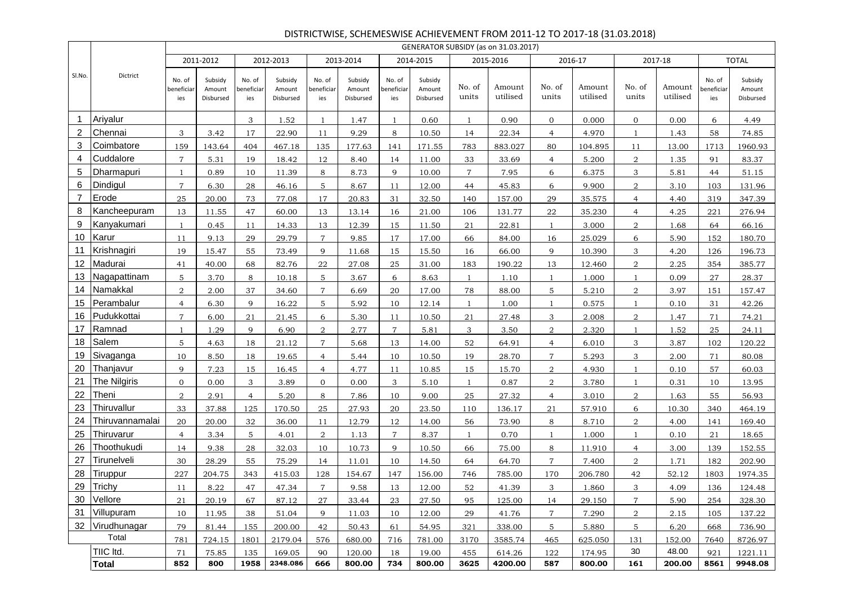|                |                 |                             |                                |                             |                                |                             |                                |                             |                                |                 | GENERATOR SUBSIDY (as on 31.03.2017) |                 |                    |                 |                    |                             |                                |
|----------------|-----------------|-----------------------------|--------------------------------|-----------------------------|--------------------------------|-----------------------------|--------------------------------|-----------------------------|--------------------------------|-----------------|--------------------------------------|-----------------|--------------------|-----------------|--------------------|-----------------------------|--------------------------------|
|                |                 |                             | 2011-2012                      |                             | 2012-2013                      |                             | 2013-2014                      |                             | 2014-2015                      |                 | 2015-2016                            |                 | 2016-17            |                 | 2017-18            |                             | <b>TOTAL</b>                   |
| SI.No.         | Dictrict        | No. of<br>beneficiar<br>ies | Subsidy<br>Amount<br>Disbursed | No. of<br>beneficiar<br>ies | Subsidy<br>Amount<br>Disbursed | No. of<br>beneficiar<br>ies | Subsidy<br>Amount<br>Disbursed | No. of<br>beneficiar<br>ies | Subsidy<br>Amount<br>Disbursed | No. of<br>units | Amount<br>utilised                   | No. of<br>units | Amount<br>utilised | No. of<br>units | Amount<br>utilised | No. of<br>beneficiar<br>ies | Subsidy<br>Amount<br>Disbursed |
| $\mathbf{1}$   | Ariyalur        |                             |                                | 3                           | 1.52                           | $\mathbf{1}$                | 1.47                           | 1                           | 0.60                           | $\mathbf{1}$    | 0.90                                 | $\mathbf{0}$    | 0.000              | $\mathbf{0}$    | 0.00               | 6                           | 4.49                           |
| 2              | Chennai         | 3                           | 3.42                           | 17                          | 22.90                          | 11                          | 9.29                           | 8                           | 10.50                          | 14              | 22.34                                | $\overline{4}$  | 4.970              | 1               | 1.43               | 58                          | 74.85                          |
| 3              | Coimbatore      | 159                         | 143.64                         | 404                         | 467.18                         | 135                         | 177.63                         | 141                         | 171.55                         | 783             | 883.027                              | 80              | 104.895            | 11              | 13.00              | 1713                        | 1960.93                        |
| 4              | Cuddalore       | $\overline{7}$              | 5.31                           | 19                          | 18.42                          | 12                          | 8.40                           | 14                          | 11.00                          | 33              | 33.69                                | $\overline{4}$  | 5.200              | $\overline{2}$  | 1.35               | 91                          | 83.37                          |
| 5              | Dharmapuri      | $\overline{1}$              | 0.89                           | 10                          | 11.39                          | 8                           | 8.73                           | 9                           | 10.00                          | $7^{\circ}$     | 7.95                                 | 6               | 6.375              | 3               | 5.81               | 44                          | 51.15                          |
| 6              | Dindigul        | $\overline{7}$              | 6.30                           | 28                          | 46.16                          | 5 <sup>5</sup>              | 8.67                           | 11                          | 12.00                          | 44              | 45.83                                | 6               | 9.900              | $\overline{a}$  | 3.10               | 103                         | 131.96                         |
| $\overline{7}$ | Erode           | 25                          | 20.00                          | 73                          | 77.08                          | 17                          | 20.83                          | 31                          | 32.50                          | 140             | 157.00                               | 29              | 35.575             | $\overline{4}$  | 4.40               | 319                         | 347.39                         |
| 8              | Kancheepuram    | 13                          | 11.55                          | 47                          | 60.00                          | 13                          | 13.14                          | 16                          | 21.00                          | 106             | 131.77                               | 22              | 35.230             | $\overline{4}$  | 4.25               | 221                         | 276.94                         |
| 9              | Kanyakumari     | <sup>1</sup>                | 0.45                           | 11                          | 14.33                          | 13                          | 12.39                          | 15                          | 11.50                          | 21              | 22.81                                | 1               | 3.000              | $\overline{2}$  | 1.68               | 64                          | 66.16                          |
| 10             | Karur           | 11                          | 9.13                           | 29                          | 29.79                          | $\overline{7}$              | 9.85                           | 17                          | 17.00                          | 66              | 84.00                                | 16              | 25.029             | 6               | 5.90               | 152                         | 180.70                         |
| 11             | Krishnagiri     | 19                          | 15.47                          | 55                          | 73.49                          | 9                           | 11.68                          | 15                          | 15.50                          | 16              | 66.00                                | 9               | 10.390             | $\mathbf{3}$    | 4.20               | 126                         | 196.73                         |
| 12             | Madurai         | 41                          | 40.00                          | 68                          | 82.76                          | $\bf{22}$                   | 27.08                          | 25                          | 31.00                          | 183             | 190.22                               | 13              | 12.460             | $\overline{2}$  | 2.25               | 354                         | 385.77                         |
| 13             | Nagapattinam    | 5                           | 3.70                           | 8                           | 10.18                          | 5                           | 3.67                           | 6                           | 8.63                           | $\mathbf{1}$    | 1.10                                 | $\mathbf{1}$    | 1.000              | 1               | 0.09               | 27                          | 28.37                          |
| 14             | Namakkal        | $\overline{2}$              | 2.00                           | 37                          | 34.60                          | $\overline{7}$              | 6.69                           | 20                          | 17.00                          | 78              | 88.00                                | 5               | 5.210              | $\overline{2}$  | 3.97               | 151                         | 157.47                         |
| 15             | Perambalur      | $\overline{4}$              | 6.30                           | 9                           | 16.22                          | 5                           | 5.92                           | 10                          | 12.14                          |                 | 1.00                                 | $\mathbf{1}$    | 0.575              | $\overline{1}$  | 0.10               | 31                          | 42.26                          |
| 16             | Pudukkottai     | $\overline{7}$              | 6.00                           | 21                          | 21.45                          | 6                           | 5.30                           | 11                          | 10.50                          | 21              | 27.48                                | 3               | 2.008              | $\overline{2}$  | 1.47               | 71                          | 74.21                          |
| 17             | Ramnad          | $\overline{1}$              | 1.29                           | 9                           | 6.90                           | $\overline{a}$              | 2.77                           | $\overline{7}$              | 5.81                           | 3               | 3.50                                 | $\overline{2}$  | 2.320              | $\mathbf{1}$    | 1.52               | 25                          | 24.11                          |
| 18             | Salem           | 5                           | 4.63                           | 18                          | 21.12                          | $\overline{7}$              | 5.68                           | 13                          | 14.00                          | 52              | 64.91                                | $\overline{4}$  | 6.010              | 3               | 3.87               | 102                         | 120.22                         |
| 19             | Sivaganga       | 10                          | 8.50                           | 18                          | 19.65                          | $\overline{4}$              | 5.44                           | 10                          | 10.50                          | 19              | 28.70                                | $\overline{7}$  | 5.293              | 3               | 2.00               | 71                          | 80.08                          |
| 20             | Thanjavur       | 9                           | 7.23                           | 15                          | 16.45                          | $\overline{4}$              | 4.77                           | 11                          | 10.85                          | 15              | 15.70                                | $\overline{2}$  | 4.930              | 1               | 0.10               | 57                          | 60.03                          |
| 21             | The Nilgiris    | $\overline{0}$              | 0.00                           | 3                           | 3.89                           | $\overline{0}$              | 0.00                           | 3                           | 5.10                           | $\mathbf{1}$    | 0.87                                 | 2               | 3.780              |                 | 0.31               | 10                          | 13.95                          |
| 22             | Theni           | $\overline{2}$              | 2.91                           | $\overline{4}$              | 5.20                           | 8                           | 7.86                           | 10                          | 9.00                           | 25              | 27.32                                | $\overline{4}$  | 3.010              | $\overline{2}$  | 1.63               | 55                          | 56.93                          |
| 23             | Thiruvallur     | 33                          | 37.88                          | 125                         | 170.50                         | $25\,$                      | 27.93                          | 20                          | 23.50                          | 110             | 136.17                               | 21              | 57.910             | 6               | 10.30              | 340                         | 464.19                         |
| 24             | Thiruvannamalai | 20                          | 20.00                          | 32                          | 36.00                          | 11                          | 12.79                          | 12                          | 14.00                          | 56              | 73.90                                | 8               | 8.710              | $\overline{a}$  | 4.00               | 141                         | 169.40                         |
| 25             | Thiruvarur      | $\overline{4}$              | 3.34                           | 5                           | 4.01                           | $\overline{2}$              | 1.13                           | $\overline{7}$              | 8.37                           |                 | 0.70                                 | $\mathbf{1}$    | 1.000              |                 | 0.10               | 21                          | 18.65                          |
| 26             | Thoothukudi     | 14                          | 9.38                           | 28                          | 32.03                          | 10                          | 10.73                          | 9                           | 10.50                          | 66              | 75.00                                | 8               | 11.910             | $\overline{4}$  | 3.00               | 139                         | 152.55                         |
| 27             | Tirunelveli     | 30                          | 28.29                          | 55                          | 75.29                          | 14                          | 11.01                          | 10                          | 14.50                          | 64              | 64.70                                | $\overline{7}$  | 7.400              | $\overline{2}$  | 1.71               | 182                         | 202.90                         |
| 28             | Tiruppur        | 227                         | 204.75                         | 343                         | 415.03                         | 128                         | 154.67                         | 147                         | 156.00                         | 746             | 785.00                               | 170             | 206.780            | 42              | 52.12              | 1803                        | 1974.35                        |
| 29             | Trichy          | 11                          | 8.22                           | 47                          | 47.34                          | $\,7$                       | 9.58                           | 13                          | 12.00                          | 52              | 41.39                                | 3               | 1.860              | 3               | 4.09               | 136                         | 124.48                         |
|                | 30 Vellore      | 21                          | 20.19                          | 67                          | 87.12                          | 27                          | 33.44                          | 23                          | 27.50                          | 95              | 125.00                               | 14              | 29.150             | $7\phantom{.0}$ | 5.90               | 254                         | 328.30                         |
|                | 31 Villupuram   | 10                          | 11.95                          | 38                          | 51.04                          | 9                           | 11.03                          | 10                          | 12.00                          | 29              | 41.76                                | $\overline{7}$  | 7.290              | $\overline{a}$  | 2.15               | 105                         | 137.22                         |
|                | 32 Virudhunagar | 79                          | 81.44                          | 155                         | 200.00                         | 42                          | 50.43                          | 61                          | 54.95                          | 321             | 338.00                               | 5               | 5.880              | 5               | 6.20               | 668                         | 736.90                         |
|                | Total           | 781                         | 724.15                         | 1801                        | 2179.04                        | 576                         | 680.00                         | 716                         | 781.00                         | 3170            | 3585.74                              | 465             | 625.050            | 131             | 152.00             | 7640                        | 8726.97                        |
|                | TIIC Itd.       | 71                          | 75.85                          | 135                         | 169.05                         | 90                          | 120.00                         | 18                          | 19.00                          | 455             | 614.26                               | 122             | 174.95             | 30              | 48.00              | 921                         | 1221.11                        |
|                | <b>Total</b>    | 852                         | 800                            | 1958                        | 2348.086                       | 666                         | 800.00                         | 734                         | 800.00                         | 3625            | 4200.00                              | 587             | 800.00             | 161             | 200.00             | 8561                        | 9948.08                        |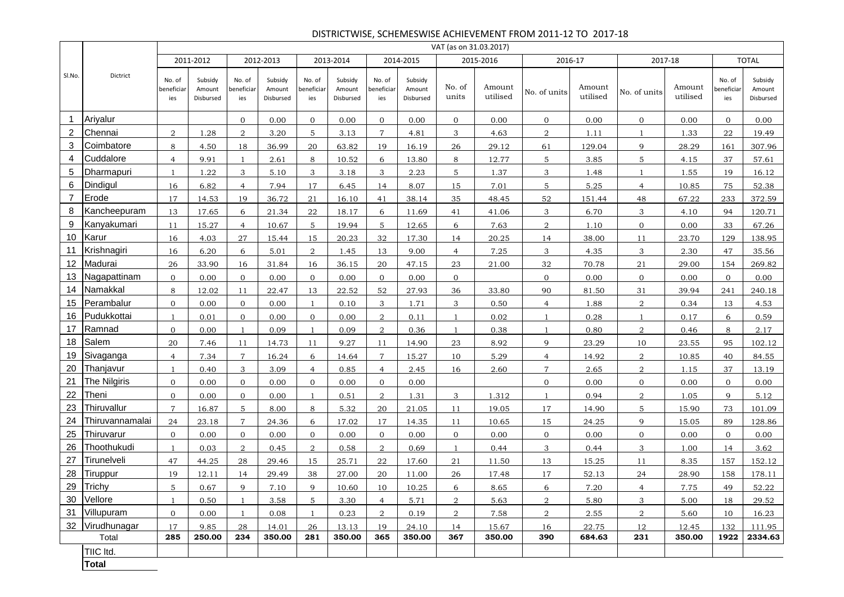## DISTRICTWISE, SCHEMESWISE ACHIEVEMENT FROM 2011-12 TO 2017-18

|                |                 |                             |                                |                             |                                |                             |                                |                             |                                | VAT (as on 31.03.2017) |                    |                 |                    |                |                    |                             |                                |
|----------------|-----------------|-----------------------------|--------------------------------|-----------------------------|--------------------------------|-----------------------------|--------------------------------|-----------------------------|--------------------------------|------------------------|--------------------|-----------------|--------------------|----------------|--------------------|-----------------------------|--------------------------------|
|                |                 |                             | 2011-2012                      |                             | 2012-2013                      |                             | 2013-2014                      |                             | 2014-2015                      |                        | 2015-2016          | 2016-17         |                    |                | 2017-18            |                             | <b>TOTAL</b>                   |
| SI.No.         | Dictrict        | No. of<br>beneficiar<br>ies | Subsidy<br>Amount<br>Disbursed | No. of<br>beneficiar<br>ies | Subsidy<br>Amount<br>Disbursed | No. of<br>beneficiar<br>ies | Subsidy<br>Amount<br>Disbursed | No. of<br>beneficiar<br>ies | Subsidy<br>Amount<br>Disbursed | No. of<br>units        | Amount<br>utilised | No. of units    | Amount<br>utilised | No. of units   | Amount<br>utilised | No. of<br>beneficiar<br>ies | Subsidy<br>Amount<br>Disbursed |
| -1             | Ariyalur        |                             |                                | $\mathbf{0}$                | 0.00                           | $\overline{0}$              | 0.00                           | $\overline{O}$              | 0.00                           | $\mathbf{0}$           | 0.00               | $\mathbf{0}$    | 0.00               | $\mathbf{0}$   | 0.00               | $\overline{0}$              | 0.00                           |
| 2              | Chennai         | $\overline{2}$              | 1.28                           | 2                           | 3.20                           | 5                           | 3.13                           | $\overline{7}$              | 4.81                           | 3                      | 4.63               | $\overline{2}$  | 1.11               | $\mathbf{1}$   | 1.33               | 22                          | 19.49                          |
| 3              | Coimbatore      | 8                           | 4.50                           | 18                          | 36.99                          | 20                          | 63.82                          | 19                          | 16.19                          | 26                     | 29.12              | 61              | 129.04             | 9              | 28.29              | 161                         | 307.96                         |
| 4              | Cuddalore       | $\overline{4}$              | 9.91                           | $\mathbf{1}$                | 2.61                           | 8                           | 10.52                          | 6                           | 13.80                          | 8                      | 12.77              | 5               | 3.85               | 5              | 4.15               | 37                          | 57.61                          |
| 5              | Dharmapuri      | 1                           | 1.22                           | 3                           | 5.10                           | 3                           | 3.18                           | 3                           | 2.23                           | 5                      | 1.37               | 3               | 1.48               | $\mathbf{1}$   | 1.55               | 19                          | 16.12                          |
| 6              | Dindigul        | 16                          | 6.82                           | $\overline{4}$              | 7.94                           | 17                          | 6.45                           | 14                          | 8.07                           | 15                     | 7.01               | $5\phantom{.0}$ | 5.25               | $\overline{4}$ | 10.85              | 75                          | 52.38                          |
| $\overline{7}$ | Erode           | 17                          | 14.53                          | 19                          | 36.72                          | 21                          | 16.10                          | 41                          | 38.14                          | 35                     | 48.45              | 52              | 151.44             | 48             | 67.22              | 233                         | 372.59                         |
| 8              | Kancheepuram    | 13                          | 17.65                          | 6                           | 21.34                          | 22                          | 18.17                          | 6                           | 11.69                          | 41                     | 41.06              | 3               | 6.70               | 3              | 4.10               | 94                          | 120.71                         |
| 9              | Kanyakumari     | 11                          | 15.27                          | $\overline{4}$              | 10.67                          | 5                           | 19.94                          | 5                           | 12.65                          | 6                      | 7.63               | $\overline{a}$  | 1.10               | $\mathbf{0}$   | 0.00               | 33                          | 67.26                          |
| 10             | Karur           | 16                          | 4.03                           | 27                          | 15.44                          | 15                          | 20.23                          | 32                          | 17.30                          | 14                     | 20.25              | 14              | 38.00              | 11             | 23.70              | 129                         | 138.95                         |
| 11             | Krishnagiri     | 16                          | 6.20                           | 6                           | 5.01                           | $\overline{2}$              | 1.45                           | 13                          | 9.00                           | $\overline{4}$         | 7.25               | 3               | 4.35               | 3              | 2.30               | 47                          | 35.56                          |
| 12             | Madurai         | 26                          | 33.90                          | 16                          | 31.84                          | 16                          | 36.15                          | 20                          | 47.15                          | 23                     | 21.00              | 32              | 70.78              | 21             | 29.00              | 154                         | 269.82                         |
| 13             | Nagapattinam    | $\mathbf{0}$                | 0.00                           | $\mathbf{0}$                | 0.00                           | $\overline{0}$              | 0.00                           | $\overline{O}$              | 0.00                           | $\mathbf{0}$           |                    | $\overline{0}$  | 0.00               | $\mathbf{0}$   | 0.00               | $\overline{0}$              | 0.00                           |
| 14             | Namakkal        | 8                           | 12.02                          | 11                          | 22.47                          | 13                          | 22.52                          | 52                          | 27.93                          | 36                     | 33.80              | 90              | 81.50              | 31             | 39.94              | 241                         | 240.18                         |
| 15             | Perambalur      | $\mathbf{0}$                | 0.00                           | $\overline{0}$              | 0.00                           | $\mathbf{1}$                | 0.10                           | 3                           | 1.71                           | 3                      | 0.50               | $\overline{4}$  | 1.88               | 2              | 0.34               | 13                          | 4.53                           |
| 16             | Pudukkottai     | $\overline{1}$              | 0.01                           | $\mathbf{0}$                | 0.00                           | $\mathbf{0}$                | 0.00                           | $\overline{2}$              | 0.11                           | $\overline{1}$         | 0.02               | $\mathbf{1}$    | 0.28               | $\mathbf{1}$   | 0.17               | 6                           | 0.59                           |
| 17             | Ramnad          | $\mathbf{0}$                | 0.00                           | $\mathbf{1}$                | 0.09                           | $\mathbf{1}$                | 0.09                           | $\overline{2}$              | 0.36                           | $\mathbf{1}$           | 0.38               | $\mathbf{1}$    | 0.80               | 2              | 0.46               | 8                           | 2.17                           |
| 18             | Salem           | 20                          | 7.46                           | 11                          | 14.73                          | 11                          | 9.27                           | 11                          | 14.90                          | 23                     | 8.92               | 9               | 23.29              | 10             | 23.55              | 95                          | 102.12                         |
| 19             | Sivaganga       | $\overline{4}$              | 7.34                           | $\overline{7}$              | 16.24                          | 6                           | 14.64                          | $\mathbf{7}$                | 15.27                          | 10                     | 5.29               | $\overline{4}$  | 14.92              | 2              | 10.85              | 40                          | 84.55                          |
| 20             | Thanjavur       | $\overline{1}$              | 0.40                           | 3                           | 3.09                           | $\overline{4}$              | 0.85                           | $\overline{4}$              | 2.45                           | 16                     | 2.60               | $\overline{7}$  | 2.65               | $\overline{a}$ | 1.15               | 37                          | 13.19                          |
| 21             | The Nilgiris    | $\mathbf{0}$                | 0.00                           | $\overline{0}$              | 0.00                           | $\overline{0}$              | 0.00                           | $\overline{0}$              | 0.00                           |                        |                    | $\overline{0}$  | 0.00               | $\mathbf{0}$   | 0.00               | $\mathbf{0}$                | 0.00                           |
| 22             | Theni           | $\mathbf{0}$                | 0.00                           | $\mathbf{0}$                | 0.00                           | $\mathbf{1}$                | 0.51                           | $\overline{2}$              | 1.31                           | 3                      | 1.312              | $\mathbf{1}$    | 0.94               | 2              | 1.05               | 9                           | 5.12                           |
| 23             | Thiruvallur     | $\overline{7}$              | 16.87                          | 5                           | 8.00                           | 8                           | 5.32                           | 20                          | 21.05                          | 11                     | 19.05              | 17              | 14.90              | 5              | 15.90              | 73                          | 101.09                         |
| 24             | Thiruvannamalai | 24                          | 23.18                          | $\overline{7}$              | 24.36                          | 6                           | 17.02                          | 17                          | 14.35                          | 11                     | 10.65              | 15              | 24.25              | 9              | 15.05              | 89                          | 128.86                         |
| 25             | Thiruvarur      | $\mathbf{0}$                | 0.00                           | $\overline{0}$              | 0.00                           | $\mathbf{0}$                | 0.00                           | $\overline{0}$              | 0.00                           | $\mathbf{0}$           | 0.00               | $\mathbf{0}$    | 0.00               | $\mathbf{0}$   | 0.00               | $\overline{0}$              | 0.00                           |
| 26             | Thoothukudi     | -1                          | 0.03                           | 2                           | 0.45                           | 2                           | 0.58                           | $\overline{2}$              | 0.69                           |                        | 0.44               | 3               | 0.44               | 3              | 1.00               | 14                          | 3.62                           |
| 27             | Tirunelveli     | 47                          | 44.25                          | 28                          | 29.46                          | 15                          | 25.71                          | 22                          | 17.60                          | 21                     | 11.50              | 13              | 15.25              | 11             | 8.35               | 157                         | 152.12                         |
| 28             | Tiruppur        | 19                          | 12.11                          | 14                          | 29.49                          | 38                          | 27.00                          | 20                          | 11.00                          | 26                     | 17.48              | 17              | 52.13              | 24             | 28.90              | 158                         | 178.11                         |
| 29             | Trichy          | 5                           | 0.67                           | 9                           | 7.10                           | $\mathbf{Q}$                | 10.60                          | 10                          | 10.25                          | 6                      | 8.65               | 6               | 7.20               | $\overline{4}$ | 7.75               | 49                          | 52.22                          |
|                | 30 Vellore      | $\mathbf{1}$                | 0.50                           | 1                           | 3.58                           | 5                           | 3.30                           | $\overline{4}$              | 5.71                           | $\overline{2}$         | 5.63               | $\overline{2}$  | 5.80               | 3              | 5.00               | 18                          | 29.52                          |
| 31             | Villupuram      | $\mathbf{0}$                | 0.00                           | $\mathbf{1}$                | 0.08                           | $\mathbf{1}$                | 0.23                           | $\overline{a}$              | 0.19                           | $\overline{a}$         | 7.58               | $\overline{a}$  | 2.55               | $\overline{a}$ | 5.60               | 10                          | 16.23                          |
|                | 32 Virudhunagar | 17                          | 9.85                           | 28                          | 14.01                          | 26                          | 13.13                          | 19                          | 24.10                          | 14                     | 15.67              | 16              | 22.75              | 12             | 12.45              | 132                         | 111.95                         |
|                | Total           | 285                         | 250.00                         | 234                         | 350.00                         | 281                         | 350.00                         | 365                         | 350.00                         | 367                    | 350.00             | 390             | 684.63             | 231            | 350.00             | 1922                        | 2334.63                        |
|                | TIIC Itd.       |                             |                                |                             |                                |                             |                                |                             |                                |                        |                    |                 |                    |                |                    |                             |                                |
|                | <b>Total</b>    |                             |                                |                             |                                |                             |                                |                             |                                |                        |                    |                 |                    |                |                    |                             |                                |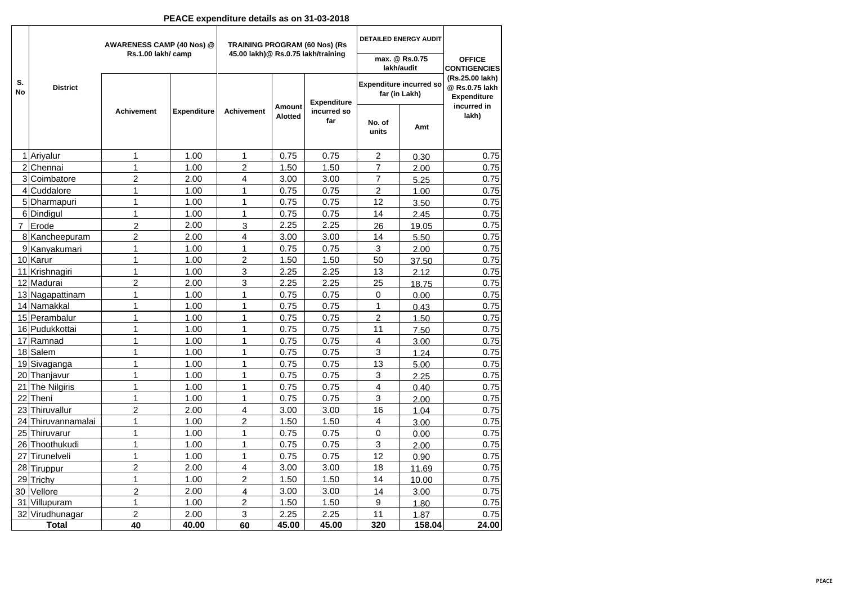#### **PEACE expenditure details as on 31-03-2018**

|                 |                             | AWARENESS CAMP (40 Nos) @<br>Rs.1.00 lakh/ camp |                    | <b>TRAINING PROGRAM (60 Nos) (Rs</b><br>45.00 lakh)@ Rs.0.75 lakh/training |                   |                    |                 | <b>DETAILED ENERGY AUDIT</b>                    |                                                         |
|-----------------|-----------------------------|-------------------------------------------------|--------------------|----------------------------------------------------------------------------|-------------------|--------------------|-----------------|-------------------------------------------------|---------------------------------------------------------|
|                 |                             |                                                 |                    |                                                                            |                   |                    |                 | max. @ Rs.0.75<br>lakh/audit                    | <b>OFFICE</b><br><b>CONTIGENCIES</b>                    |
| S.<br><b>No</b> | <b>District</b>             |                                                 |                    |                                                                            |                   | <b>Expenditure</b> |                 | <b>Expenditure incurred so</b><br>far (in Lakh) | (Rs.25.00 lakh)<br>@ Rs.0.75 lakh<br><b>Expenditure</b> |
|                 |                             | <b>Achivement</b>                               | <b>Expenditure</b> | <b>Achivement</b>                                                          | Amount<br>Alotted | incurred so<br>far | No. of<br>units | Amt                                             | incurred in<br>lakh)                                    |
|                 | 1 Ariyalur                  | 1                                               | 1.00               | 1                                                                          | 0.75              | 0.75               | 2               | 0.30                                            | 0.75                                                    |
|                 | 2 Chennai                   | 1                                               | 1.00               | $\overline{2}$                                                             | 1.50              | 1.50               | $\overline{7}$  | 2.00                                            | 0.75                                                    |
|                 | 3 Coimbatore                | $\overline{2}$                                  | 2.00               | 4                                                                          | 3.00              | 3.00               | $\overline{7}$  | 5.25                                            | 0.75                                                    |
|                 | 4 Cuddalore                 | 1                                               | 1.00               | 1                                                                          | 0.75              | 0.75               | 2               | 1.00                                            | 0.75                                                    |
|                 | 5 Dharmapuri                | 1                                               | 1.00               | 1                                                                          | 0.75              | 0.75               | 12              | 3.50                                            | 0.75                                                    |
|                 | 6 Dindigul                  | 1                                               | 1.00               | 1                                                                          | 0.75              | 0.75               | 14              | 2.45                                            | 0.75                                                    |
| $\overline{7}$  | Erode                       | $\overline{2}$                                  | 2.00               | 3                                                                          | 2.25              | 2.25               | 26              | 19.05                                           | 0.75                                                    |
|                 | 8 Kancheepuram              | $\overline{2}$                                  | 2.00               | 4                                                                          | 3.00              | 3.00               | 14              | 5.50                                            | 0.75                                                    |
|                 | 9 Kanyakumari               | 1                                               | 1.00               | 1                                                                          | 0.75              | 0.75               | 3               | 2.00                                            | 0.75                                                    |
|                 | 10 Karur                    | 1                                               | 1.00               | $\overline{c}$                                                             | 1.50              | 1.50               | 50              | 37.50                                           | 0.75                                                    |
|                 | 11 Krishnagiri              | 1                                               | 1.00               | 3                                                                          | 2.25              | 2.25               | 13              | 2.12                                            | 0.75                                                    |
|                 | 12 Madurai                  | $\overline{2}$                                  | 2.00               | 3                                                                          | 2.25              | 2.25               | 25              | 18.75                                           | 0.75                                                    |
|                 | 13 Nagapattinam             | 1                                               | 1.00               | 1                                                                          | 0.75              | 0.75               | 0               | 0.00                                            | 0.75                                                    |
|                 | 14 Namakkal                 | 1                                               | 1.00               | $\mathbf{1}$                                                               | 0.75              | 0.75               | 1               | 0.43                                            | 0.75                                                    |
|                 | 15 Perambalur               | 1                                               | 1.00               | 1                                                                          | 0.75              | 0.75               | $\overline{c}$  | 1.50                                            | 0.75                                                    |
|                 | 16 Pudukkottai              | 1                                               | 1.00               | 1                                                                          | 0.75              | 0.75               | 11              | 7.50                                            | 0.75                                                    |
|                 | 17 Ramnad                   | 1                                               | 1.00               | 1                                                                          | 0.75              | 0.75               | $\overline{4}$  | 3.00                                            | 0.75                                                    |
|                 | 18 Salem                    | 1                                               | 1.00               | 1                                                                          | 0.75              | 0.75               | 3               | 1.24                                            | 0.75                                                    |
|                 | 19 Sivaganga                | 1                                               | 1.00               | 1                                                                          | 0.75              | 0.75               | 13              | 5.00                                            | 0.75                                                    |
|                 | 20 Thanjavur                | 1                                               | 1.00               | 1                                                                          | 0.75              | 0.75               | 3               | 2.25                                            | 0.75                                                    |
|                 | 21 The Nilgiris             | 1                                               | 1.00               | 1                                                                          | 0.75              | 0.75               | 4               | 0.40                                            | 0.75                                                    |
|                 | 22 Theni                    | $\mathbf 1$                                     | 1.00               | 1                                                                          | 0.75              | 0.75               | 3               | 2.00                                            | 0.75                                                    |
|                 | 23 Thiruvallur              | $\overline{c}$                                  | 2.00               | 4                                                                          | 3.00              | 3.00               | 16              | 1.04                                            | 0.75                                                    |
|                 | 24 Thiruvannamalai          | 1                                               | 1.00               | $\overline{2}$                                                             | 1.50              | 1.50               | 4               | 3.00                                            | 0.75                                                    |
|                 | 25 Thiruvarur               | 1                                               | 1.00               | 1                                                                          | 0.75              | 0.75               | $\mathbf 0$     | 0.00                                            | 0.75                                                    |
|                 | 26 Thoothukudi              | 1                                               | 1.00               | 1                                                                          | 0.75              | 0.75               | 3               | 2.00                                            | 0.75                                                    |
|                 | 27 Tirunelveli              | $\mathbf{1}$                                    | 1.00               | $\mathbf{1}$                                                               | 0.75              | 0.75               | 12              | 0.90                                            | 0.75                                                    |
|                 | 28 Tiruppur                 | $\overline{2}$                                  | 2.00               | 4<br>$\overline{2}$                                                        | 3.00              | 3.00               | 18              | 11.69                                           | 0.75                                                    |
|                 | 29 Trichy                   | 1                                               | 1.00<br>2.00       | 4                                                                          | 1.50<br>3.00      | 1.50               | 14              | 10.00                                           | 0.75                                                    |
|                 | 30 Vellore<br>31 Villupuram | $\overline{2}$<br>1                             | 1.00               | $\overline{2}$                                                             | 1.50              | 3.00<br>1.50       | 14<br>9         | 3.00                                            | 0.75<br>0.75                                            |
|                 | 32 Virudhunagar             | 2                                               | 2.00               | 3                                                                          | 2.25              | 2.25               | 11              | 1.80<br>1.87                                    | 0.75                                                    |
|                 | <b>Total</b>                | 40                                              | 40.00              | 60                                                                         | 45.00             | 45.00              | 320             | 158.04                                          | 24.00                                                   |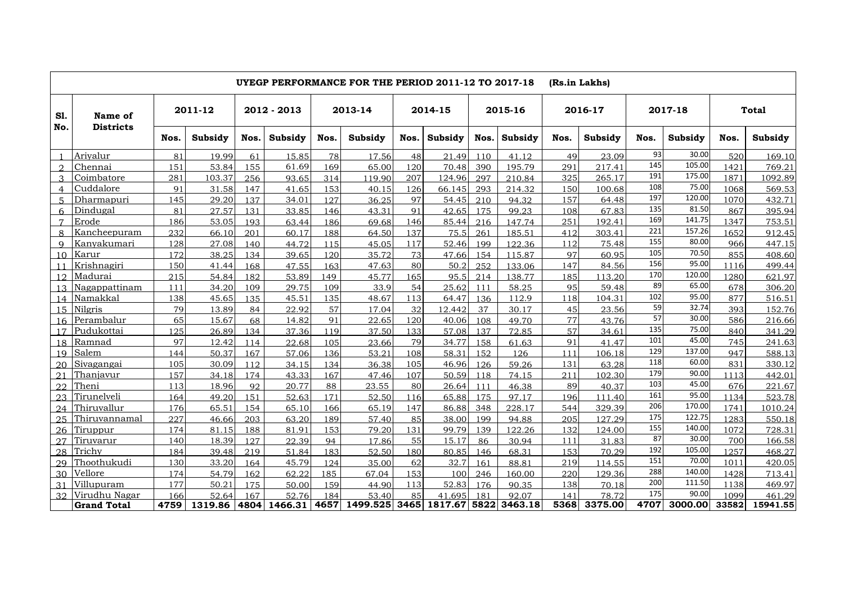|                 |                    |      |         |      |             |      | UYEGP PERFORMANCE FOR THE PERIOD 2011-12 TO 2017-18 |      |         |      |         | (Rs.in Lakhs) |         |      |         |       |          |
|-----------------|--------------------|------|---------|------|-------------|------|-----------------------------------------------------|------|---------|------|---------|---------------|---------|------|---------|-------|----------|
| <b>S1.</b>      | Name of            |      | 2011-12 |      | 2012 - 2013 |      | 2013-14                                             |      | 2014-15 |      | 2015-16 |               | 2016-17 |      | 2017-18 |       | Total    |
| No.             | <b>Districts</b>   | Nos. | Subsidy | Nos. | Subsidy     | Nos. | Subsidy                                             | Nos. | Subsidy | Nos. | Subsidy | Nos.          | Subsidy | Nos. | Subsidy | Nos.  | Subsidy  |
|                 | Arivalur           | 81   | 19.99   | 61   | 15.85       | 78   | 17.56                                               | 48   | 21.49   | 110  | 41.12   | 49            | 23.09   | 93   | 30.00   | 520   | 169.10   |
| $\Omega$        | Chennai            | 151  | 53.84   | 155  | 61.69       | 169  | 65.00                                               | 120  | 70.48   | 390  | 195.79  | 291           | 217.41  | 145  | 105.00  | 1421  | 769.21   |
| 3               | Coimbatore         | 281  | 103.37  | 256  | 93.65       | 314  | 119.90                                              | 207  | 124.96  | 297  | 210.84  | 325           | 265.17  | 191  | 175.00  | 1871  | 1092.89  |
| $\overline{4}$  | Cuddalore          | 91   | 31.58   | 147  | 41.65       | 153  | 40.15                                               | 126  | 66.145  | 293  | 214.32  | 150           | 100.68  | 108  | 75.00   | 1068  | 569.53   |
| 5.              | Dharmapuri         | 145  | 29.20   | 137  | 34.01       | 127  | 36.25                                               | 97   | 54.45   | 210  | 94.32   | 157           | 64.48   | 197  | 120.00  | 1070  | 432.71   |
| 6.              | Dindugal           | 81   | 27.57   | 131  | 33.85       | 146  | 43.31                                               | 91   | 42.65   | 175  | 99.23   | 108           | 67.83   | 135  | 81.50   | 867   | 395.94   |
| 7               | Erode              | 186  | 53.05   | 193  | 63.44       | 186  | 69.68                                               | 146  | 85.44   | 216  | 147.74  | 251           | 192.41  | 169  | 141.75  | 1347  | 753.51   |
| 8               | Kancheepuram       | 232  | 66.10   | 201  | 60.17       | 188  | 64.50                                               | 137  | 75.5    | 261  | 185.51  | 412           | 303.41  | 221  | 157.26  | 1652  | 912.45   |
| $\mathbf Q$     | Kanvakumari        | 128  | 27.08   | 140  | 44.72       | 115  | 45.05                                               | 117  | 52.46   | 199  | 122.36  | 112           | 75.48   | 155  | 80.00   | 966   | 447.15   |
| 10              | Karur              | 172  | 38.25   | 134  | 39.65       | 120  | 35.72                                               | 73   | 47.66   | 154  | 115.87  | 97            | 60.95   | 105  | 70.50   | 855   | 408.60   |
| 11              | Krishnagiri        | 150  | 41.44   | 168  | 47.55       | 163  | 47.63                                               | 80   | 50.2    | 252  | 133.06  | 147           | 84.56   | 156  | 95.00   | 1116  | 499.44   |
| 12              | Madurai            | 215  | 54.84   | 182  | 53.89       | 149  | 45.77                                               | 165  | 95.5    | 214  | 138.77  | 185           | 113.20  | 170  | 120.00  | 1280  | 621.97   |
| 13              | Nagappattinam      | 111  | 34.20   | 109  | 29.75       | 109  | 33.9                                                | 54   | 25.62   | 111  | 58.25   | 95            | 59.48   | 89   | 65.00   | 678   | 306.20   |
| 14              | Namakkal           | 138  | 45.65   | 135  | 45.51       | 135  | 48.67                                               | 113  | 64.47   | 136  | 112.9   | 118           | 104.31  | 102  | 95.00   | 877   | 516.51   |
| 15              | Nilgris            | 79   | 13.89   | 84   | 22.92       | 57   | 17.04                                               | 32   | 12.442  | 37   | 30.17   | 45            | 23.56   | 59   | 32.74   | 393   | 152.76   |
| 16 <sup>1</sup> | Perambalur         | 65   | 15.67   | 68   | 14.82       | 91   | 22.65                                               | 120  | 40.06   | 108  | 49.70   | 77            | 43.76   | 57   | 30.00   | 586   | 216.66   |
| 17              | Pudukottai         | 125  | 26.89   | 134  | 37.36       | 119  | 37.50                                               | 133  | 57.08   | 137  | 72.85   | 57            | 34.61   | 135  | 75.00   | 840   | 341.29   |
| 18              | Ramnad             | 97   | 12.42   | 114  | 22.68       | 105  | 23.66                                               | 79   | 34.77   | 158  | 61.63   | 91            | 41.47   | 101  | 45.00   | 745   | 241.63   |
| 19              | Salem              | 144  | 50.37   | 167  | 57.06       | 136  | 53.21                                               | 108  | 58.31   | 152  | 126     | 111           | 106.18  | 129  | 137.00  | 947   | 588.13   |
| 20              | Sivagangai         | 105  | 30.09   | 112  | 34.15       | 134  | 36.38                                               | 105  | 46.96   | 126  | 59.26   | 131           | 63.28   | 118  | 60.00   | 831   | 330.12   |
| 21              | Thanjavur          | 157  | 34.18   | 174  | 43.33       | 167  | 47.46                                               | 107  | 50.59   | 118  | 74.15   | 211           | 102.30  | 179  | 90.00   | 1113  | 442.01   |
| 22              | Theni              | 113  | 18.96   | 92   | 20.77       | 88   | 23.55                                               | 80   | 26.64   | 111  | 46.38   | 89            | 40.37   | 103  | 45.00   | 676   | 221.67   |
| 23              | Tirunelveli        | 164  | 49.20   | 151  | 52.63       | 171  | 52.50                                               | 116  | 65.88   | 175  | 97.17   | 196           | 111.40  | 161  | 95.00   | 1134  | 523.78   |
| 2.4             | Thiruvallur        | 176  | 65.51   | 154  | 65.10       | 166  | 65.19                                               | 147  | 86.88   | 348  | 228.17  | 544           | 329.39  | 206  | 170.00  | 1741  | 1010.24  |
| 25              | Thiruvannamal      | 227  | 46.66   | 203  | 63.20       | 189  | 57.40                                               | 85   | 38.00   | 199  | 94.88   | 205           | 127.29  | 175  | 122.75  | 1283  | 550.18   |
| 26              | Tiruppur           | 174  | 81.15   | 188  | 81.91       | 153  | 79.20                                               | 131  | 99.79   | 139  | 122.26  | 132           | 124.00  | 155  | 140.00  | 1072  | 728.31   |
| 27              | Tiruvarur          | 140  | 18.39   | 127  | 22.39       | 94   | 17.86                                               | 55   | 15.17   | 86   | 30.94   | 111           | 31.83   | 87   | 30.00   | 700   | 166.58   |
| 28              | Trichy             | 184  | 39.48   | 219  | 51.84       | 183  | 52.50                                               | 180  | 80.85   | 146  | 68.31   | 153           | 70.29   | 192  | 105.00  | 1257  | 468.27   |
| 29              | Thoothukudi        | 130  | 33.20   | 164  | 45.79       | 124  | 35.00                                               | 62   | 32.7    | 161  | 88.81   | 219           | 114.55  | 151  | 70.00   | 1011  | 420.05   |
| 30              | Vellore            | 174  | 54.79   | 162  | 62.22       | 185  | 67.04                                               | 153  | 100     | 246  | 160.00  | 220           | 129.36  | 288  | 140.00  | 1428  | 713.41   |
| 31              | Villupuram         | 177  | 50.21   | 175  | 50.00       | 159  | 44.90                                               | 113  | 52.83   | 176  | 90.35   | 138           | 70.18   | 200  | 111.50  | 1138  | 469.97   |
| 32              | Virudhu Nagar      | 166  | 52.64   | 167  | 52.76       | 184  | 53.40                                               | 85   | 41.695  | 181  | 92.07   | 141           | 78.72   | 175  | 90.00   | 1099  | 461.29   |
|                 | <b>Grand Total</b> | 4759 | 1319.86 | 4804 |             |      | 1466.31 4657 1499.525 3465 1817.67 5822             |      |         |      | 3463.18 | 5368          | 3375.00 | 4707 | 3000.00 | 33582 | 15941.55 |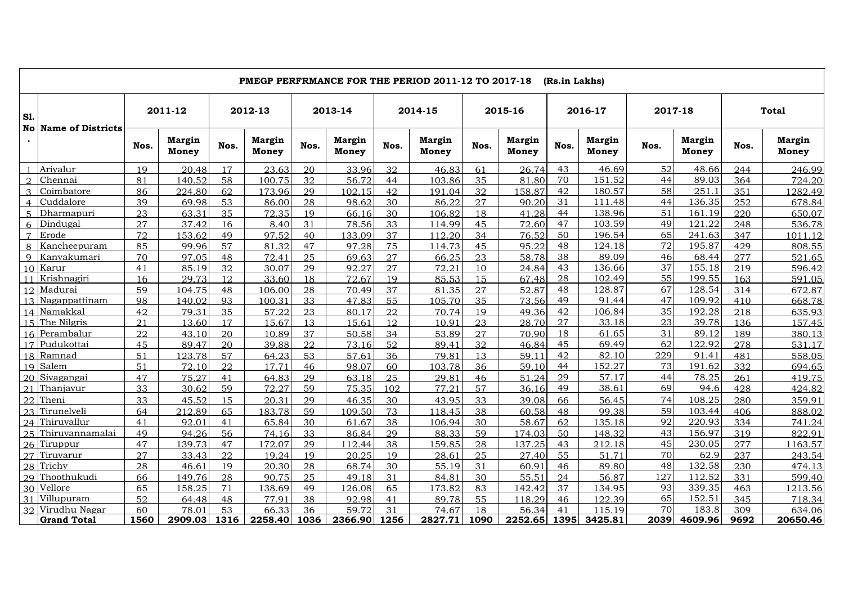|                |                             | PMEGP PERFRMANCE FOR THE PERIOD 2011-12 TO 2017-18<br>(Rs.in Lakhs) |                        |      |                        |      |                               |      |                        |      |                        |      |                               |      |                        |      |                               |
|----------------|-----------------------------|---------------------------------------------------------------------|------------------------|------|------------------------|------|-------------------------------|------|------------------------|------|------------------------|------|-------------------------------|------|------------------------|------|-------------------------------|
| S1.            |                             |                                                                     | 2011-12                |      | 2012-13                |      | 2013-14                       |      | 2014-15                |      | 2015-16                |      | 2016-17                       |      | 2017-18                |      | <b>Total</b>                  |
|                | <b>No Name of Districts</b> | Nos.                                                                | <b>Margin</b><br>Money | Nos. | <b>Margin</b><br>Money | Nos. | <b>Margin</b><br><b>Money</b> | Nos. | <b>Margin</b><br>Money | Nos. | <b>Margin</b><br>Money | Nos. | <b>Margin</b><br><b>Money</b> | Nos. | <b>Margin</b><br>Money | Nos. | <b>Margin</b><br><b>Money</b> |
|                | Arivalur                    | 19                                                                  | 20.48                  | 17   | 23.63                  | 20   | 33.96                         | 32   | 46.83                  | 61   | 26.74                  | 43   | 46.69                         | 52   | 48.66                  | 244  | 246.99                        |
| $\Omega$       | Chennai                     | 81                                                                  | 140.52                 | 58   | 100.75                 | 32   | 56.72                         | 44   | 103.86                 | 35   | 81.80                  | 70   | 151.52                        | 44   | 89.03                  | 364  | 724.20                        |
|                | Coimbatore                  | 86                                                                  | 224.80                 | 62   | 173.96                 | 29   | 102.15                        | 42   | 191.04                 | 32   | 158.87                 | 42   | 180.57                        | 58   | 251.1                  | 351  | 1282.49                       |
|                | Cuddalore                   | 39                                                                  | 69.98                  | 53   | 86.00                  | 28   | 98.62                         | 30   | 86.22                  | 27   | 90.20                  | 31   | 111.48                        | 44   | 136.35                 | 252  | 678.84                        |
|                | Dharmapuri                  | 23                                                                  | 63.31                  | 35   | 72.35                  | 19   | 66.16                         | 30   | 106.82                 | 18   | 41.28                  | 44   | 138.96                        | 51   | 161.19                 | 220  | 650.07                        |
|                | Dindugal                    | 27                                                                  | 37.42                  | 16   | 8.40                   | 31   | 78.56                         | 33   | 114.99                 | 45   | 72.60                  | 47   | 103.59                        | 49   | 121.22                 | 248  | 536.78                        |
| $\overline{7}$ | Erode                       | 72                                                                  | 153.62                 | 49   | 97.52                  | 40   | 133.09                        | 37   | 112.20                 | 34   | 76.52                  | 50   | 196.54                        | 65   | 241.63                 | 347  | 1011.12                       |
| 8              | Kancheepuram                | 85                                                                  | 99.96                  | 57   | 81.32                  | 47   | 97.28                         | 75   | 114.73                 | 45   | 95.22                  | 48   | 124.18                        | 72   | 195.87                 | 429  | 808.55                        |
| $\mathbf Q$    | Kanyakumari                 | 70                                                                  | 97.05                  | 48   | 72.41                  | 25   | 69.63                         | 27   | 66.25                  | 23   | 58.78                  | 38   | 89.09                         | 46   | 68.44                  | 277  | 521.65                        |
|                | 10 Karur                    | 41                                                                  | 85.19                  | 32   | 30.07                  | 29   | 92.27                         | 27   | 72.21                  | 10   | 24.84                  | 43   | 136.66                        | 37   | 155.18                 | 219  | 596.42                        |
|                | 11 Krishnagiri              | 16                                                                  | 29.73                  | 12   | 33.60                  | 18   | 72.67                         | 19   | 85.53                  | 15   | 67.48                  | 28   | 102.49                        | 55   | 199.55                 | 163  | 591.05                        |
|                | 12 Madurai                  | 59                                                                  | 104.75                 | 48   | 106.00                 | 28   | 70.49                         | 37   | 81.35                  | 27   | 52.87                  | 48   | 128.87                        | 67   | 128.54                 | 314  | 672.87                        |
|                | 13 Nagappattinam            | 98                                                                  | 140.02                 | 93   | 100.31                 | 33   | 47.83                         | 55   | 105.70                 | 35   | 73.56                  | 49   | 91.44                         | 47   | 109.92                 | 410  | 668.78                        |
|                | 14 Namakkal                 | 42                                                                  | 79.31                  | 35   | 57.22                  | 23   | 80.17                         | 22   | 70.74                  | 19   | 49.36                  | 42   | 106.84                        | 35   | 192.28                 | 218  | 635.93                        |
| 15             | The Nilgris                 | 21                                                                  | 13.60                  | 17   | 15.67                  | 13   | 15.61                         | 12   | 10.91                  | 23   | 28.70                  | 27   | 33.18                         | 23   | 39.78                  | 136  | 157.45                        |
|                | 16 Perambalur               | 22                                                                  | 43.10                  | 20   | 10.89                  | 37   | 50.58                         | 34   | 53.89                  | 27   | 70.90                  | 18   | 61.65                         | 31   | 89.12                  | 189  | 380.13                        |
|                | 17 Pudukottai               | 45                                                                  | 89.47                  | 20   | 39.88                  | 22   | 73.16                         | 52   | 89.41                  | 32   | 46.84                  | 45   | 69.49                         | 62   | 122.92                 | 278  | 531.17                        |
|                | 18 Ramnad                   | 51                                                                  | 123.78                 | 57   | 64.23                  | 53   | 57.61                         | 36   | 79.81                  | 13   | 59.11                  | 42   | 82.10                         | 229  | 91.41                  | 481  | 558.05                        |
|                | 19 Salem                    | 51                                                                  | 72.10                  | 22   | 17.71                  | 46   | 98.07                         | 60   | 103.78                 | 36   | 59.10                  | 44   | 152.27                        | 73   | 191.62                 | 332  | 694.65                        |
| 20             | Sivagangai                  | 47                                                                  | 75.27                  | 41   | 64.83                  | 29   | 63.18                         | 2.5  | 29.81                  | 46   | 51.24                  | 29   | 57.17                         | 44   | 78.25                  | 261  | 419.75                        |
| 21             | Thanjavur                   | 33                                                                  | 30.62                  | 59   | 72.27                  | 59   | 75.35                         | 102  | 77.21                  | 57   | 36.16                  | 49   | 38.61                         | 69   | 94.6                   | 428  | 424.82                        |
| 22             | Theni                       | 33                                                                  | 45.52                  | 15   | 20.31                  | 29   | 46.35                         | 30   | 43.95                  | 33   | 39.08                  | 66   | 56.45                         | 74   | 108.25                 | 280  | 359.91                        |
| 23             | Tirunelveli                 | 64                                                                  | 212.89                 | 65   | 183.78                 | 59   | 109.50                        | 73   | 118.45                 | 38   | 60.58                  | 48   | 99.38                         | 59   | 103.44                 | 406  | 888.02                        |
| 24             | Thiruvallur                 | 41                                                                  | 92.01                  | 41   | 65.84                  | 30   | 61.67                         | 38   | 106.94                 | 30   | 58.67                  | 62   | 135.18                        | 92   | 220.93                 | 334  | 741.24                        |
| 25             | Thiruvannamalai             | 49                                                                  | 94.26                  | 56   | 74.16                  | 33   | 86.84                         | 29   | 88.33                  | 59   | 174.03                 | 50   | 148.32                        | 43   | 156.97                 | 319  | 822.91                        |
| 26             | Tiruppur                    | 47                                                                  | 139.73                 | 47   | 172.07                 | 29   | 112.44                        | 38   | 159.85                 | 28   | 137.25                 | 43   | 212.18                        | 45   | 230.05                 | 277  | 1163.57                       |
|                | 27 Tiruvarur                | 27                                                                  | 33.43                  | 22   | 19.24                  | 19   | 20.25                         | 19   | 28.61                  | 25   | 27.40                  | 55   | 51.71                         | 70   | 62.9                   | 237  | 243.54                        |
| 28             | Trichy                      | 28                                                                  | 46.61                  | 19   | 20.30                  | 28   | 68.74                         | 30   | 55.19                  | 31   | 60.91                  | 46   | 89.80                         | 48   | 132.58                 | 230  | 474.13                        |
|                | 29 Thoothukudi              | 66                                                                  | 149.76                 | 28   | 90.75                  | 25   | 49.18                         | 31   | 84.81                  | 30   | 55.51                  | 24   | 56.87                         | 127  | 112.52                 | 331  | 599.40                        |
| 30             | Vellore                     | 65                                                                  | 158.25                 | 71   | 138.69                 | 49   | 126.08                        | 65   | 173.82                 | 83   | 142.42                 | 37   | 134.95                        | 93   | 339.35                 | 463  | 1213.56                       |
| 31             | Villupuram                  | 52                                                                  | 64.48                  | 48   | 77.91                  | 38   | 92.98                         | 41   | 89.78                  | 55   | 118.29                 | 46   | 122.39                        | 65   | 152.51                 | 345  | 718.34                        |
|                | 32 Virudhu Nagar            | 60                                                                  | 78.01                  | 53   | 66.33                  | 36   | 59.72                         | 31   | 74.67                  | 18   | 56.34                  | 41   | 115.19                        | 70   | 183.8                  | 309  | 634.06                        |
|                | <b>Grand Total</b>          | 1560                                                                | 2909.03                | 1316 | 2258.40                | 1036 | 2366.90                       | 1256 | 2827.71                | 1090 | 2252.65                | 1395 | 3425.81                       | 2039 | 4609.96                | 9692 | 20650.46                      |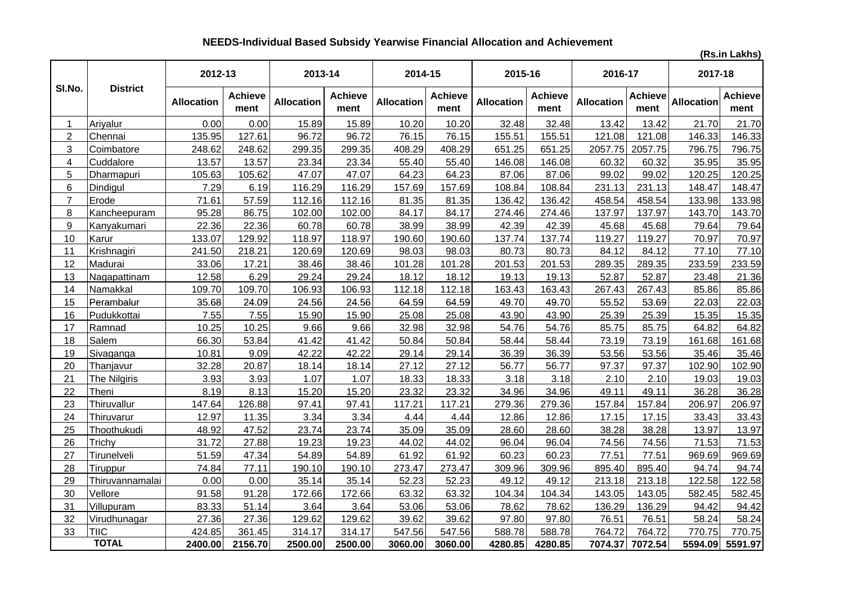# **NEEDS-Individual Based Subsidy Yearwise Financial Allocation and Achievement**

**(Rs.in Lakhs)**

|                |                 | 2012-13           |                        | 2013-14           |                        | 2014-15           |                        | 2015-16           |                        | 2016-17           |                        | 2017-18    |                        |
|----------------|-----------------|-------------------|------------------------|-------------------|------------------------|-------------------|------------------------|-------------------|------------------------|-------------------|------------------------|------------|------------------------|
| SI.No.         | <b>District</b> | <b>Allocation</b> | <b>Achieve</b><br>ment | <b>Allocation</b> | <b>Achieve</b><br>ment | <b>Allocation</b> | <b>Achieve</b><br>ment | <b>Allocation</b> | <b>Achieve</b><br>ment | <b>Allocation</b> | <b>Achieve</b><br>ment | Allocation | <b>Achieve</b><br>ment |
| $\mathbf 1$    | Ariyalur        | 0.00              | 0.00                   | 15.89             | 15.89                  | 10.20             | 10.20                  | 32.48             | 32.48                  | 13.42             | 13.42                  | 21.70      | 21.70                  |
| $\overline{2}$ | Chennai         | 135.95            | 127.61                 | 96.72             | 96.72                  | 76.15             | 76.15                  | 155.51            | 155.51                 | 121.08            | 121.08                 | 146.33     | 146.33                 |
| 3              | Coimbatore      | 248.62            | 248.62                 | 299.35            | 299.35                 | 408.29            | 408.29                 | 651.25            | 651.25                 | 2057.75           | 2057.75                | 796.75     | 796.75                 |
| 4              | Cuddalore       | 13.57             | 13.57                  | 23.34             | 23.34                  | 55.40             | 55.40                  | 146.08            | 146.08                 | 60.32             | 60.32                  | 35.95      | 35.95                  |
| 5              | Dharmapuri      | 105.63            | 105.62                 | 47.07             | 47.07                  | 64.23             | 64.23                  | 87.06             | 87.06                  | 99.02             | 99.02                  | 120.25     | 120.25                 |
| 6              | Dindigul        | 7.29              | 6.19                   | 116.29            | 116.29                 | 157.69            | 157.69                 | 108.84            | 108.84                 | 231.13            | 231.13                 | 148.47     | 148.47                 |
| $\overline{7}$ | Erode           | 71.61             | 57.59                  | 112.16            | 112.16                 | 81.35             | 81.35                  | 136.42            | 136.42                 | 458.54            | 458.54                 | 133.98     | 133.98                 |
| 8              | Kancheepuram    | 95.28             | 86.75                  | 102.00            | 102.00                 | 84.17             | 84.17                  | 274.46            | 274.46                 | 137.97            | 137.97                 | 143.70     | 143.70                 |
| 9              | Kanyakumari     | 22.36             | 22.36                  | 60.78             | 60.78                  | 38.99             | 38.99                  | 42.39             | 42.39                  | 45.68             | 45.68                  | 79.64      | 79.64                  |
| 10             | Karur           | 133.07            | 129.92                 | 118.97            | 118.97                 | 190.60            | 190.60                 | 137.74            | 137.74                 | 119.27            | 119.27                 | 70.97      | 70.97                  |
| 11             | Krishnagiri     | 241.50            | 218.21                 | 120.69            | 120.69                 | 98.03             | 98.03                  | 80.73             | 80.73                  | 84.12             | 84.12                  | 77.10      | 77.10                  |
| 12             | Madurai         | 33.06             | 17.21                  | 38.46             | 38.46                  | 101.28            | 101.28                 | 201.53            | 201.53                 | 289.35            | 289.35                 | 233.59     | 233.59                 |
| 13             | Nagapattinam    | 12.58             | 6.29                   | 29.24             | 29.24                  | 18.12             | 18.12                  | 19.13             | 19.13                  | 52.87             | 52.87                  | 23.48      | 21.36                  |
| 14             | Namakkal        | 109.70            | 109.70                 | 106.93            | 106.93                 | 112.18            | 112.18                 | 163.43            | 163.43                 | 267.43            | 267.43                 | 85.86      | 85.86                  |
| 15             | Perambalur      | 35.68             | 24.09                  | 24.56             | 24.56                  | 64.59             | 64.59                  | 49.70             | 49.70                  | 55.52             | 53.69                  | 22.03      | 22.03                  |
| 16             | Pudukkottai     | 7.55              | 7.55                   | 15.90             | 15.90                  | 25.08             | 25.08                  | 43.90             | 43.90                  | 25.39             | 25.39                  | 15.35      | 15.35                  |
| 17             | Ramnad          | 10.25             | 10.25                  | 9.66              | 9.66                   | 32.98             | 32.98                  | 54.76             | 54.76                  | 85.75             | 85.75                  | 64.82      | 64.82                  |
| 18             | Salem           | 66.30             | 53.84                  | 41.42             | 41.42                  | 50.84             | 50.84                  | 58.44             | 58.44                  | 73.19             | 73.19                  | 161.68     | 161.68                 |
| 19             | Sivaganga       | 10.81             | 9.09                   | 42.22             | 42.22                  | 29.14             | 29.14                  | 36.39             | 36.39                  | 53.56             | 53.56                  | 35.46      | 35.46                  |
| 20             | Thanjavur       | 32.28             | 20.87                  | 18.14             | 18.14                  | 27.12             | 27.12                  | 56.77             | 56.77                  | 97.37             | 97.37                  | 102.90     | 102.90                 |
| 21             | The Nilgiris    | 3.93              | 3.93                   | 1.07              | 1.07                   | 18.33             | 18.33                  | 3.18              | 3.18                   | 2.10              | 2.10                   | 19.03      | 19.03                  |
| 22             | Theni           | 8.19              | 8.13                   | 15.20             | 15.20                  | 23.32             | 23.32                  | 34.96             | 34.96                  | 49.11             | 49.11                  | 36.28      | 36.28                  |
| 23             | Thiruvallur     | 147.64            | 126.88                 | 97.41             | 97.41                  | 117.21            | 117.21                 | 279.36            | 279.36                 | 157.84            | 157.84                 | 206.97     | 206.97                 |
| 24             | Thiruvarur      | 12.97             | 11.35                  | 3.34              | 3.34                   | 4.44              | 4.44                   | 12.86             | 12.86                  | 17.15             | 17.15                  | 33.43      | 33.43                  |
| 25             | Thoothukudi     | 48.92             | 47.52                  | 23.74             | 23.74                  | 35.09             | 35.09                  | 28.60             | 28.60                  | 38.28             | 38.28                  | 13.97      | 13.97                  |
| 26             | Trichy          | 31.72             | 27.88                  | 19.23             | 19.23                  | 44.02             | 44.02                  | 96.04             | 96.04                  | 74.56             | 74.56                  | 71.53      | 71.53                  |
| 27             | Tirunelveli     | 51.59             | 47.34                  | 54.89             | 54.89                  | 61.92             | 61.92                  | 60.23             | 60.23                  | 77.51             | 77.51                  | 969.69     | 969.69                 |
| 28             | Tiruppur        | 74.84             | 77.11                  | 190.10            | 190.10                 | 273.47            | 273.47                 | 309.96            | 309.96                 | 895.40            | 895.40                 | 94.74      | 94.74                  |
| 29             | Thiruvannamalai | 0.00              | 0.00                   | 35.14             | 35.14                  | 52.23             | 52.23                  | 49.12             | 49.12                  | 213.18            | 213.18                 | 122.58     | 122.58                 |
| 30             | Vellore         | 91.58             | 91.28                  | 172.66            | 172.66                 | 63.32             | 63.32                  | 104.34            | 104.34                 | 143.05            | 143.05                 | 582.45     | 582.45                 |
| 31             | Villupuram      | 83.33             | 51.14                  | 3.64              | 3.64                   | 53.06             | 53.06                  | 78.62             | 78.62                  | 136.29            | 136.29                 | 94.42      | 94.42                  |
| 32             | Virudhunagar    | 27.36             | 27.36                  | 129.62            | 129.62                 | 39.62             | 39.62                  | 97.80             | 97.80                  | 76.51             | 76.51                  | 58.24      | 58.24                  |
| 33             | <b>TIIC</b>     | 424.85            | 361.45                 | 314.17            | 314.17                 | 547.56            | 547.56                 | 588.78            | 588.78                 | 764.72            | 764.72                 | 770.75     | 770.75                 |
|                | <b>TOTAL</b>    | 2400.00           | 2156.70                | 2500.00           | 2500.00                | 3060.00           | 3060.00                | 4280.85           | 4280.85                | 7074.37           | 7072.54                | 5594.09    | 5591.97                |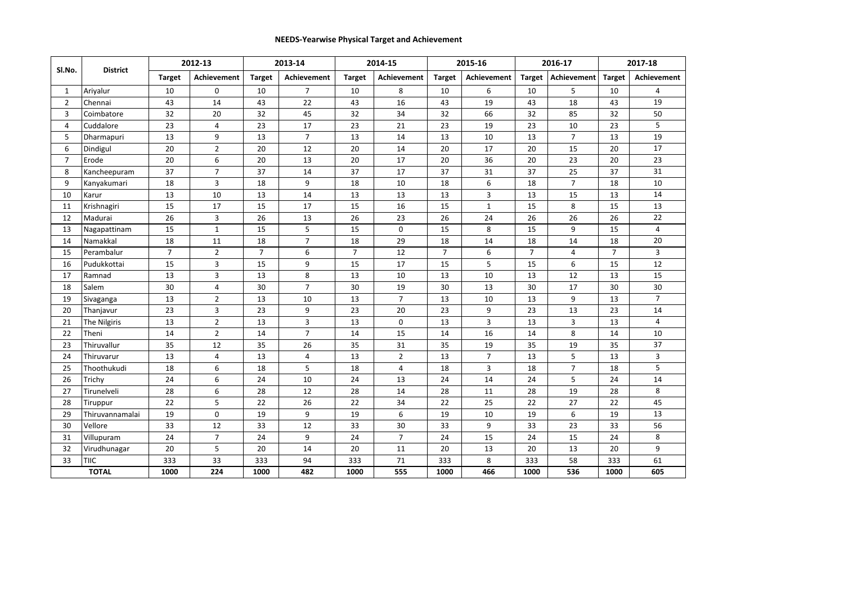#### **NEEDS-Yearwise Physical Target and Achievement**

| Sl.No.         | <b>District</b> |                | 2012-13        |                | 2013-14        |                | 2014-15        |                | 2015-16        |                | 2016-17        |                | 2017-18        |
|----------------|-----------------|----------------|----------------|----------------|----------------|----------------|----------------|----------------|----------------|----------------|----------------|----------------|----------------|
|                |                 | <b>Target</b>  | Achievement    | <b>Target</b>  | Achievement    | <b>Target</b>  | Achievement    | <b>Target</b>  | Achievement    | <b>Target</b>  | Achievement    | <b>Target</b>  | Achievement    |
| $\mathbf{1}$   | Ariyalur        | 10             | 0              | 10             | $\overline{7}$ | 10             | 8              | 10             | 6              | 10             | 5              | 10             | 4              |
| $\overline{2}$ | Chennai         | 43             | 14             | 43             | 22             | 43             | 16             | 43             | 19             | 43             | 18             | 43             | 19             |
| 3              | Coimbatore      | 32             | 20             | 32             | 45             | 32             | 34             | 32             | 66             | 32             | 85             | 32             | 50             |
| 4              | Cuddalore       | 23             | 4              | 23             | 17             | 23             | 21             | 23             | 19             | 23             | 10             | 23             | 5              |
| 5              | Dharmapuri      | 13             | 9              | 13             | $\overline{7}$ | 13             | 14             | 13             | 10             | 13             | $\overline{7}$ | 13             | 19             |
| 6              | Dindigul        | 20             | $\overline{2}$ | 20             | 12             | 20             | 14             | 20             | 17             | 20             | 15             | 20             | 17             |
| $\overline{7}$ | Erode           | 20             | 6              | 20             | 13             | 20             | 17             | 20             | 36             | 20             | 23             | 20             | 23             |
| 8              | Kancheepuram    | 37             | $\overline{7}$ | 37             | 14             | 37             | 17             | 37             | 31             | 37             | 25             | 37             | 31             |
| 9              | Kanyakumari     | 18             | 3              | 18             | 9              | 18             | 10             | 18             | 6              | 18             | $\overline{7}$ | 18             | 10             |
| 10             | Karur           | 13             | 10             | 13             | 14             | 13             | 13             | 13             | 3              | 13             | 15             | 13             | 14             |
| 11             | Krishnagiri     | 15             | 17             | 15             | 17             | 15             | 16             | 15             | $\mathbf{1}$   | 15             | 8              | 15             | 13             |
| 12             | Madurai         | 26             | 3              | 26             | 13             | 26             | 23             | 26             | 24             | 26             | 26             | 26             | 22             |
| 13             | Nagapattinam    | 15             | $\mathbf{1}$   | 15             | 5              | 15             | $\mathbf 0$    | 15             | 8              | 15             | 9              | 15             | 4              |
| 14             | Namakkal        | 18             | 11             | 18             | $\overline{7}$ | 18             | 29             | 18             | 14             | 18             | 14             | 18             | 20             |
| 15             | Perambalur      | $\overline{7}$ | $\overline{2}$ | $\overline{7}$ | 6              | $\overline{7}$ | 12             | $\overline{7}$ | 6              | $\overline{7}$ | 4              | $\overline{7}$ | 3              |
| 16             | Pudukkottai     | 15             | 3              | 15             | 9              | 15             | 17             | 15             | 5              | 15             | 6              | 15             | 12             |
| 17             | Ramnad          | 13             | 3              | 13             | 8              | 13             | 10             | 13             | 10             | 13             | 12             | 13             | 15             |
| 18             | Salem           | 30             | $\overline{4}$ | 30             | $\overline{7}$ | 30             | 19             | 30             | 13             | 30             | 17             | 30             | 30             |
| 19             | Sivaganga       | 13             | $\overline{2}$ | 13             | 10             | 13             | $\overline{7}$ | 13             | 10             | 13             | 9              | 13             | $\overline{7}$ |
| 20             | Thanjavur       | 23             | 3              | 23             | 9              | 23             | 20             | 23             | 9              | 23             | 13             | 23             | 14             |
| 21             | The Nilgiris    | 13             | $\overline{2}$ | 13             | $\overline{3}$ | 13             | $\mathbf 0$    | 13             | $\overline{3}$ | 13             | 3              | 13             | 4              |
| 22             | Theni           | 14             | $\overline{2}$ | 14             | $\overline{7}$ | 14             | 15             | 14             | 16             | 14             | 8              | 14             | 10             |
| 23             | Thiruvallur     | 35             | 12             | 35             | 26             | 35             | 31             | 35             | 19             | 35             | 19             | 35             | 37             |
| 24             | Thiruvarur      | 13             | 4              | 13             | 4              | 13             | $\overline{2}$ | 13             | $\overline{7}$ | 13             | 5              | 13             | 3              |
| 25             | Thoothukudi     | 18             | 6              | 18             | 5              | 18             | 4              | 18             | 3              | 18             | $\overline{7}$ | 18             | 5              |
| 26             | Trichy          | 24             | 6              | 24             | 10             | 24             | 13             | 24             | 14             | 24             | 5              | 24             | 14             |
| 27             | Tirunelveli     | 28             | 6              | 28             | 12             | 28             | 14             | 28             | 11             | 28             | 19             | 28             | 8              |
| 28             | Tiruppur        | 22             | 5              | 22             | 26             | 22             | 34             | 22             | 25             | 22             | 27             | 22             | 45             |
| 29             | Thiruvannamalai | 19             | $\mathbf 0$    | 19             | 9              | 19             | 6              | 19             | 10             | 19             | 6              | 19             | 13             |
| 30             | Vellore         | 33             | 12             | 33             | 12             | 33             | 30             | 33             | 9              | 33             | 23             | 33             | 56             |
| 31             | Villupuram      | 24             | $\overline{7}$ | 24             | 9              | 24             | $\overline{7}$ | 24             | 15             | 24             | 15             | 24             | 8              |
| 32             | Virudhunagar    | 20             | 5              | 20             | 14             | 20             | 11             | 20             | 13             | 20             | 13             | 20             | 9              |
| 33             | TIIC            | 333            | 33             | 333            | 94             | 333            | 71             | 333            | 8              | 333            | 58             | 333            | 61             |
|                | <b>TOTAL</b>    | 1000           | 224            | 1000           | 482            | 1000           | 555            | 1000           | 466            | 1000           | 536            | 1000           | 605            |